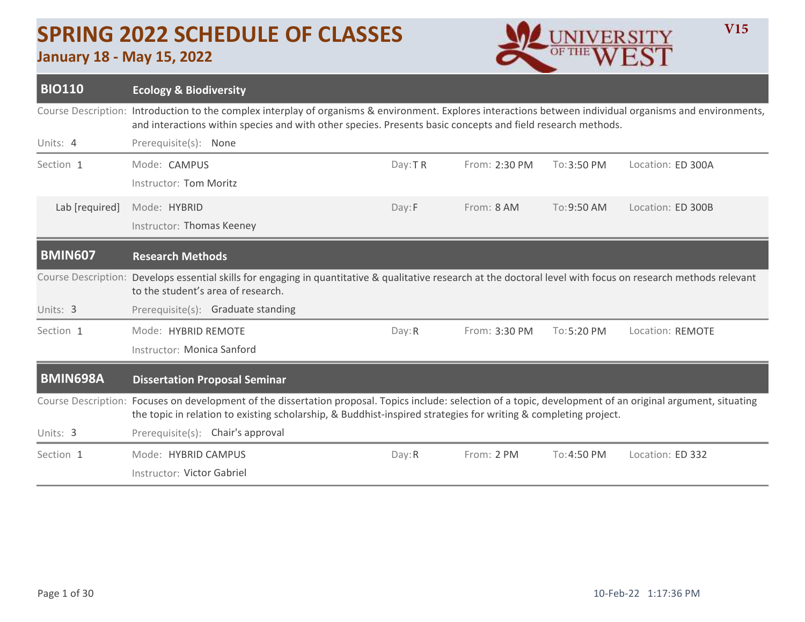## **SPRING 2022 SCHEDULE OF CLASSES**

## **January 18 - May 15, 2022**



| <b>BIO110</b>              | <b>Ecology &amp; Biodiversity</b>                                                                                                                                                                                                                                                |         |               |             |                   |  |  |  |
|----------------------------|----------------------------------------------------------------------------------------------------------------------------------------------------------------------------------------------------------------------------------------------------------------------------------|---------|---------------|-------------|-------------------|--|--|--|
|                            | Course Description: Introduction to the complex interplay of organisms & environment. Explores interactions between individual organisms and environments,<br>and interactions within species and with other species. Presents basic concepts and field research methods.        |         |               |             |                   |  |  |  |
| Units: 4                   | Prerequisite(s): None                                                                                                                                                                                                                                                            |         |               |             |                   |  |  |  |
| Section 1                  | Mode: CAMPUS                                                                                                                                                                                                                                                                     | Day: TR | From: 2:30 PM | To: 3:50 PM | Location: ED 300A |  |  |  |
|                            | Instructor: Tom Moritz                                                                                                                                                                                                                                                           |         |               |             |                   |  |  |  |
| Lab [required]             | Mode: HYBRID                                                                                                                                                                                                                                                                     | Day:F   | From: 8 AM    | To: 9:50 AM | Location: ED 300B |  |  |  |
|                            | Instructor: Thomas Keeney                                                                                                                                                                                                                                                        |         |               |             |                   |  |  |  |
| <b>BMIN607</b>             | <b>Research Methods</b>                                                                                                                                                                                                                                                          |         |               |             |                   |  |  |  |
| <b>Course Description:</b> | Develops essential skills for engaging in quantitative & qualitative research at the doctoral level with focus on research methods relevant<br>to the student's area of research.                                                                                                |         |               |             |                   |  |  |  |
| Units: 3                   | Prerequisite(s): Graduate standing                                                                                                                                                                                                                                               |         |               |             |                   |  |  |  |
| Section 1                  | Mode: HYBRID REMOTE                                                                                                                                                                                                                                                              | Day: R  | From: 3:30 PM | To: 5:20 PM | Location: REMOTE  |  |  |  |
|                            | Instructor: Monica Sanford                                                                                                                                                                                                                                                       |         |               |             |                   |  |  |  |
| <b>BMIN698A</b>            | <b>Dissertation Proposal Seminar</b>                                                                                                                                                                                                                                             |         |               |             |                   |  |  |  |
|                            | Course Description: Focuses on development of the dissertation proposal. Topics include: selection of a topic, development of an original argument, situating<br>the topic in relation to existing scholarship, & Buddhist-inspired strategies for writing & completing project. |         |               |             |                   |  |  |  |
| Units: 3                   | Prerequisite(s): Chair's approval                                                                                                                                                                                                                                                |         |               |             |                   |  |  |  |
| Section 1                  | Mode: HYBRID CAMPUS                                                                                                                                                                                                                                                              | Day: R  | From: 2 PM    | To:4:50 PM  | Location: ED 332  |  |  |  |
|                            | Instructor: Victor Gabriel                                                                                                                                                                                                                                                       |         |               |             |                   |  |  |  |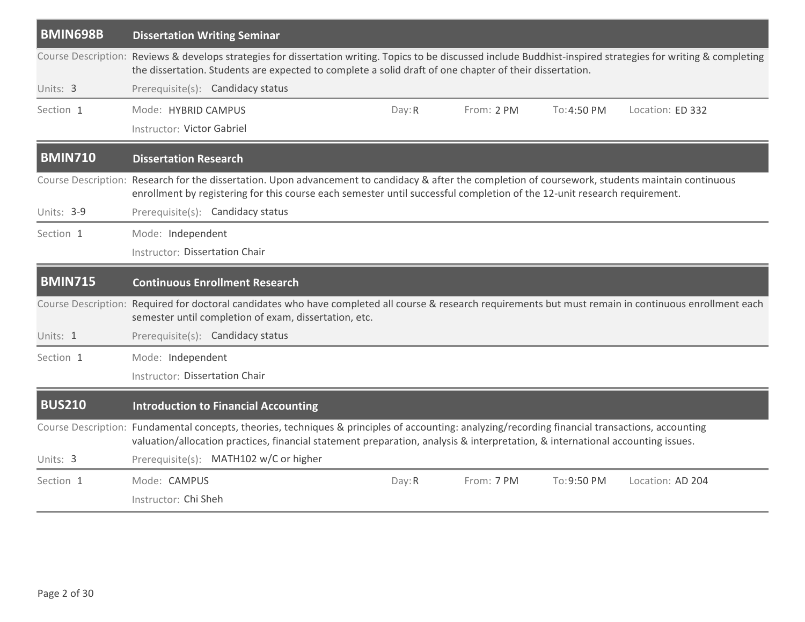| <b>BMIN698B</b> | <b>Dissertation Writing Seminar</b>                                                                                                                                                                                                                                                 |        |            |             |                  |
|-----------------|-------------------------------------------------------------------------------------------------------------------------------------------------------------------------------------------------------------------------------------------------------------------------------------|--------|------------|-------------|------------------|
|                 | Course Description: Reviews & develops strategies for dissertation writing. Topics to be discussed include Buddhist-inspired strategies for writing & completing<br>the dissertation. Students are expected to complete a solid draft of one chapter of their dissertation.         |        |            |             |                  |
| Units: 3        | Prerequisite(s): Candidacy status                                                                                                                                                                                                                                                   |        |            |             |                  |
| Section 1       | Mode: HYBRID CAMPUS                                                                                                                                                                                                                                                                 | Day: R | From: 2 PM | To: 4:50 PM | Location: ED 332 |
|                 | Instructor: Victor Gabriel                                                                                                                                                                                                                                                          |        |            |             |                  |
| <b>BMIN710</b>  | <b>Dissertation Research</b>                                                                                                                                                                                                                                                        |        |            |             |                  |
|                 | Course Description: Research for the dissertation. Upon advancement to candidacy & after the completion of coursework, students maintain continuous<br>enrollment by registering for this course each semester until successful completion of the 12-unit research requirement.     |        |            |             |                  |
| Units: 3-9      | Prerequisite(s): Candidacy status                                                                                                                                                                                                                                                   |        |            |             |                  |
| Section 1       | Mode: Independent                                                                                                                                                                                                                                                                   |        |            |             |                  |
|                 | <b>Instructor: Dissertation Chair</b>                                                                                                                                                                                                                                               |        |            |             |                  |
| <b>BMIN715</b>  | <b>Continuous Enrollment Research</b>                                                                                                                                                                                                                                               |        |            |             |                  |
|                 | Course Description: Required for doctoral candidates who have completed all course & research requirements but must remain in continuous enrollment each<br>semester until completion of exam, dissertation, etc.                                                                   |        |            |             |                  |
| Units: 1        | Prerequisite(s): Candidacy status                                                                                                                                                                                                                                                   |        |            |             |                  |
|                 |                                                                                                                                                                                                                                                                                     |        |            |             |                  |
| Section 1       | Mode: Independent                                                                                                                                                                                                                                                                   |        |            |             |                  |
|                 | <b>Instructor: Dissertation Chair</b>                                                                                                                                                                                                                                               |        |            |             |                  |
| <b>BUS210</b>   | <b>Introduction to Financial Accounting</b>                                                                                                                                                                                                                                         |        |            |             |                  |
|                 | Course Description: Fundamental concepts, theories, techniques & principles of accounting: analyzing/recording financial transactions, accounting<br>valuation/allocation practices, financial statement preparation, analysis & interpretation, & international accounting issues. |        |            |             |                  |
| Units: 3        | Prerequisite(s): MATH102 w/C or higher                                                                                                                                                                                                                                              |        |            |             |                  |
| Section 1       | Mode: CAMPUS                                                                                                                                                                                                                                                                        | Day: R | From: 7 PM | To: 9:50 PM | Location: AD 204 |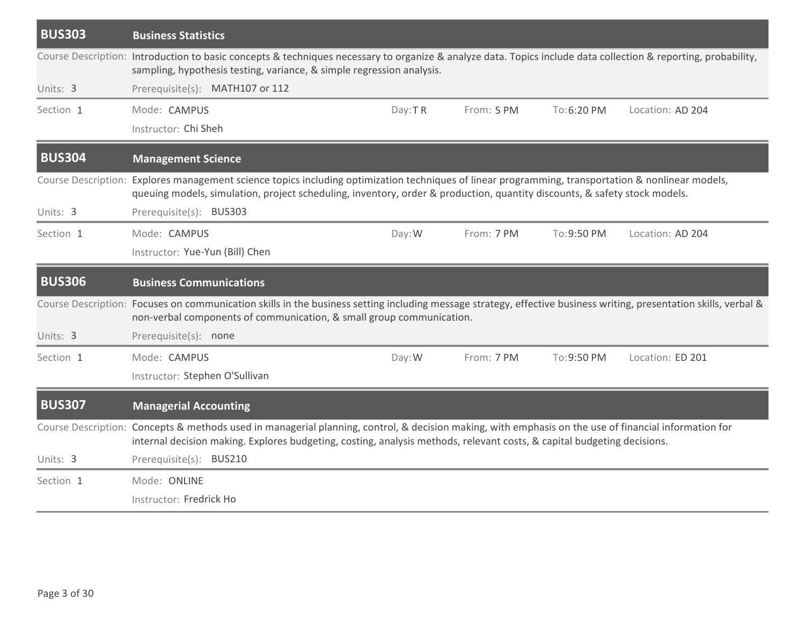| <b>BUS303</b> | <b>Business Statistics</b>                                                                                                                                                                                                                                                       |         |            |             |                  |  |  |  |  |
|---------------|----------------------------------------------------------------------------------------------------------------------------------------------------------------------------------------------------------------------------------------------------------------------------------|---------|------------|-------------|------------------|--|--|--|--|
|               | Course Description: Introduction to basic concepts & techniques necessary to organize & analyze data. Topics include data collection & reporting, probability,<br>sampling, hypothesis testing, variance, & simple regression analysis.                                          |         |            |             |                  |  |  |  |  |
| Units: 3      | Prerequisite(s): MATH107 or 112                                                                                                                                                                                                                                                  |         |            |             |                  |  |  |  |  |
| Section 1     | Mode: CAMPUS                                                                                                                                                                                                                                                                     | Day: TR | From: 5 PM | To:6:20 PM  | Location: AD 204 |  |  |  |  |
|               | Instructor: Chi Sheh                                                                                                                                                                                                                                                             |         |            |             |                  |  |  |  |  |
| <b>BUS304</b> | <b>Management Science</b>                                                                                                                                                                                                                                                        |         |            |             |                  |  |  |  |  |
|               | Course Description: Explores management science topics including optimization techniques of linear programming, transportation & nonlinear models,<br>queuing models, simulation, project scheduling, inventory, order & production, quantity discounts, & safety stock models.  |         |            |             |                  |  |  |  |  |
| Units: 3      | Prerequisite(s): BUS303                                                                                                                                                                                                                                                          |         |            |             |                  |  |  |  |  |
| Section 1     | Mode: CAMPUS                                                                                                                                                                                                                                                                     | Day: W  | From: 7 PM | To: 9:50 PM | Location: AD 204 |  |  |  |  |
|               | Instructor: Yue-Yun (Bill) Chen                                                                                                                                                                                                                                                  |         |            |             |                  |  |  |  |  |
|               |                                                                                                                                                                                                                                                                                  |         |            |             |                  |  |  |  |  |
| <b>BUS306</b> | <b>Business Communications</b>                                                                                                                                                                                                                                                   |         |            |             |                  |  |  |  |  |
|               | Course Description: Focuses on communication skills in the business setting including message strategy, effective business writing, presentation skills, verbal &<br>non-verbal components of communication, & small group communication.                                        |         |            |             |                  |  |  |  |  |
| Units: 3      | Prerequisite(s): none                                                                                                                                                                                                                                                            |         |            |             |                  |  |  |  |  |
| Section 1     | Mode: CAMPUS                                                                                                                                                                                                                                                                     | Day: W  | From: 7 PM | To: 9:50 PM | Location: ED 201 |  |  |  |  |
|               | Instructor: Stephen O'Sullivan                                                                                                                                                                                                                                                   |         |            |             |                  |  |  |  |  |
| <b>BUS307</b> | <b>Managerial Accounting</b>                                                                                                                                                                                                                                                     |         |            |             |                  |  |  |  |  |
|               | Course Description: Concepts & methods used in managerial planning, control, & decision making, with emphasis on the use of financial information for<br>internal decision making. Explores budgeting, costing, analysis methods, relevant costs, & capital budgeting decisions. |         |            |             |                  |  |  |  |  |
| Units: 3      | Prerequisite(s): BUS210                                                                                                                                                                                                                                                          |         |            |             |                  |  |  |  |  |
| Section 1     | Mode: ONLINE                                                                                                                                                                                                                                                                     |         |            |             |                  |  |  |  |  |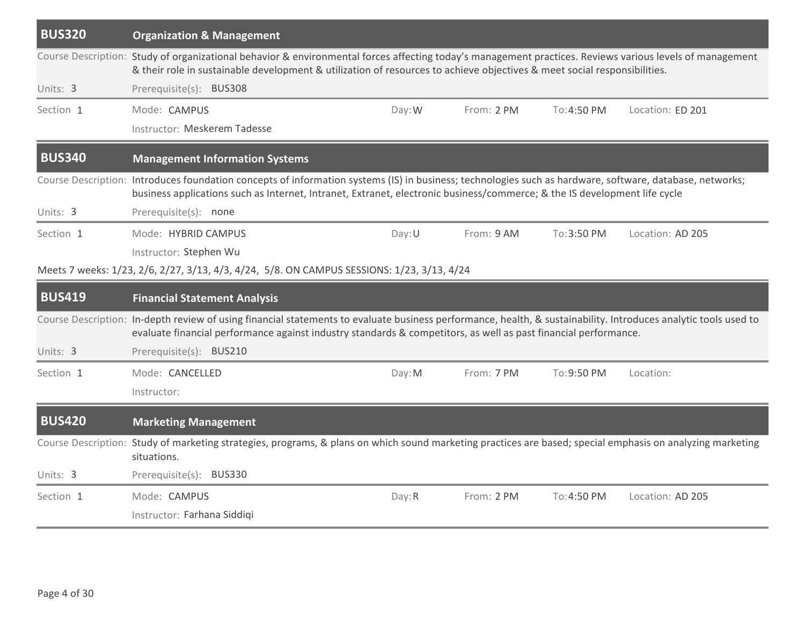| <b>BUS320</b> | <b>Organization &amp; Management</b>                                                                                                                                                                                                                                                  |        |            |             |                  |
|---------------|---------------------------------------------------------------------------------------------------------------------------------------------------------------------------------------------------------------------------------------------------------------------------------------|--------|------------|-------------|------------------|
|               | Course Description: Study of organizational behavior & environmental forces affecting today's management practices. Reviews various levels of management<br>& their role in sustainable development & utilization of resources to achieve objectives & meet social responsibilities.  |        |            |             |                  |
| Units: 3      | Prerequisite(s): BUS308                                                                                                                                                                                                                                                               |        |            |             |                  |
| Section 1     | Mode: CAMPUS                                                                                                                                                                                                                                                                          | Day: W | From: 2 PM | To: 4:50 PM | Location: ED 201 |
|               | Instructor: Meskerem Tadesse                                                                                                                                                                                                                                                          |        |            |             |                  |
| <b>BUS340</b> | <b>Management Information Systems</b>                                                                                                                                                                                                                                                 |        |            |             |                  |
|               | Course Description: Introduces foundation concepts of information systems (IS) in business; technologies such as hardware, software, database, networks;<br>business applications such as Internet, Intranet, Extranet, electronic business/commerce; & the IS development life cycle |        |            |             |                  |
| Units: 3      | Prerequisite(s): none                                                                                                                                                                                                                                                                 |        |            |             |                  |
| Section 1     | Mode: HYBRID CAMPUS                                                                                                                                                                                                                                                                   | Day: U | From: 9 AM | To:3:50 PM  | Location: AD 205 |
|               | Instructor: Stephen Wu                                                                                                                                                                                                                                                                |        |            |             |                  |
|               | Meets 7 weeks: 1/23, 2/6, 2/27, 3/13, 4/3, 4/24, 5/8. ON CAMPUS SESSIONS: 1/23, 3/13, 4/24                                                                                                                                                                                            |        |            |             |                  |
|               |                                                                                                                                                                                                                                                                                       |        |            |             |                  |
| <b>BUS419</b> | <b>Financial Statement Analysis</b>                                                                                                                                                                                                                                                   |        |            |             |                  |
|               | Course Description: In-depth review of using financial statements to evaluate business performance, health, & sustainability. Introduces analytic tools used to<br>evaluate financial performance against industry standards & competitors, as well as past financial performance.    |        |            |             |                  |
| Units: 3      | Prerequisite(s): BUS210                                                                                                                                                                                                                                                               |        |            |             |                  |
| Section 1     | Mode: CANCELLED                                                                                                                                                                                                                                                                       | Day: M | From: 7 PM | To:9:50 PM  | Location:        |
|               | Instructor:                                                                                                                                                                                                                                                                           |        |            |             |                  |
| <b>BUS420</b> | <b>Marketing Management</b>                                                                                                                                                                                                                                                           |        |            |             |                  |
|               | Course Description: Study of marketing strategies, programs, & plans on which sound marketing practices are based; special emphasis on analyzing marketing<br>situations.                                                                                                             |        |            |             |                  |
| Units: 3      | Prerequisite(s): BUS330                                                                                                                                                                                                                                                               |        |            |             |                  |
| Section 1     | Mode: CAMPUS                                                                                                                                                                                                                                                                          | Day: R | From: 2 PM | To: 4:50 PM | Location: AD 205 |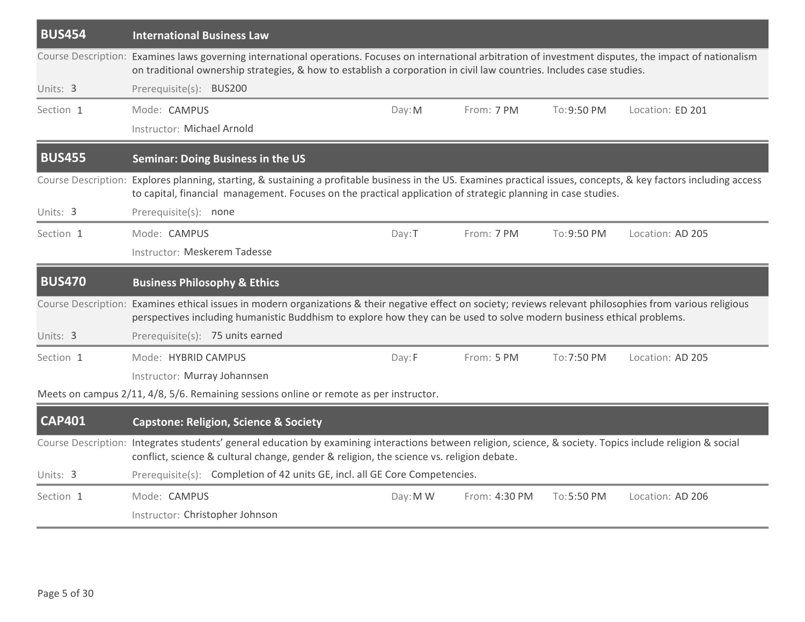| <b>BUS454</b> | <b>International Business Law</b>                                                                                                                                                                                                                                                     |          |               |             |                  |
|---------------|---------------------------------------------------------------------------------------------------------------------------------------------------------------------------------------------------------------------------------------------------------------------------------------|----------|---------------|-------------|------------------|
|               | Course Description: Examines laws governing international operations. Focuses on international arbitration of investment disputes, the impact of nationalism<br>on traditional ownership strategies, & how to establish a corporation in civil law countries. Includes case studies.  |          |               |             |                  |
| Units: 3      | Prerequisite(s): BUS200                                                                                                                                                                                                                                                               |          |               |             |                  |
| Section 1     | Mode: CAMPUS<br>Instructor: Michael Arnold                                                                                                                                                                                                                                            | Day: M   | From: 7 PM    | To: 9:50 PM | Location: ED 201 |
| <b>BUS455</b> | <b>Seminar: Doing Business in the US</b>                                                                                                                                                                                                                                              |          |               |             |                  |
|               | Course Description: Explores planning, starting, & sustaining a profitable business in the US. Examines practical issues, concepts, & key factors including access<br>to capital, financial management. Focuses on the practical application of strategic planning in case studies.   |          |               |             |                  |
| Units: 3      | Prerequisite(s): none                                                                                                                                                                                                                                                                 |          |               |             |                  |
| Section 1     | Mode: CAMPUS                                                                                                                                                                                                                                                                          | Day: T   | From: 7 PM    | To:9:50 PM  | Location: AD 205 |
|               | Instructor: Meskerem Tadesse                                                                                                                                                                                                                                                          |          |               |             |                  |
| <b>BUS470</b> | <b>Business Philosophy &amp; Ethics</b>                                                                                                                                                                                                                                               |          |               |             |                  |
|               | Course Description: Examines ethical issues in modern organizations & their negative effect on society; reviews relevant philosophies from various religious<br>perspectives including humanistic Buddhism to explore how they can be used to solve modern business ethical problems. |          |               |             |                  |
| Units: 3      | Prerequisite(s): 75 units earned                                                                                                                                                                                                                                                      |          |               |             |                  |
| Section 1     | Mode: HYBRID CAMPUS                                                                                                                                                                                                                                                                   | Day:F    | From: 5 PM    | To: 7:50 PM | Location: AD 205 |
|               | Instructor: Murray Johannsen                                                                                                                                                                                                                                                          |          |               |             |                  |
|               | Meets on campus 2/11, 4/8, 5/6. Remaining sessions online or remote as per instructor.                                                                                                                                                                                                |          |               |             |                  |
| <b>CAP401</b> | <b>Capstone: Religion, Science &amp; Society</b>                                                                                                                                                                                                                                      |          |               |             |                  |
|               | Course Description: Integrates students' general education by examining interactions between religion, science, & society. Topics include religion & social<br>conflict, science & cultural change, gender & religion, the science vs. religion debate.                               |          |               |             |                  |
| Units: 3      | Prerequisite(s): Completion of 42 units GE, incl. all GE Core Competencies.                                                                                                                                                                                                           |          |               |             |                  |
| Section 1     | Mode: CAMPUS                                                                                                                                                                                                                                                                          | Day: M W | From: 4:30 PM | To: 5:50 PM | Location: AD 206 |
|               | Instructor: Christopher Johnson                                                                                                                                                                                                                                                       |          |               |             |                  |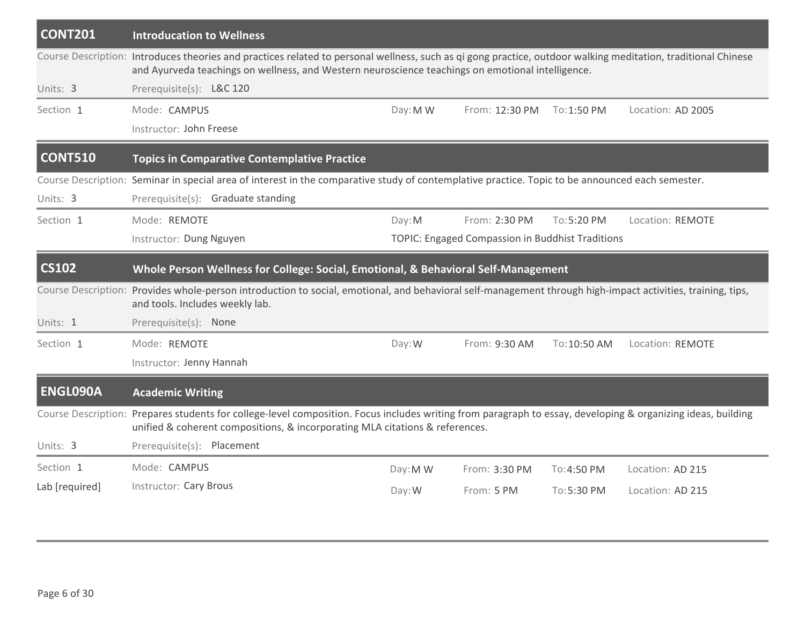| <b>CONT201</b>  | <b>Introducation to Wellness</b>                                                                                                                                                                                                                                   |          |                                                  |              |                   |
|-----------------|--------------------------------------------------------------------------------------------------------------------------------------------------------------------------------------------------------------------------------------------------------------------|----------|--------------------------------------------------|--------------|-------------------|
|                 | Course Description: Introduces theories and practices related to personal wellness, such as qi gong practice, outdoor walking meditation, traditional Chinese<br>and Ayurveda teachings on wellness, and Western neuroscience teachings on emotional intelligence. |          |                                                  |              |                   |
| Units: 3        | Prerequisite(s): L&C 120                                                                                                                                                                                                                                           |          |                                                  |              |                   |
| Section 1       | Mode: CAMPUS                                                                                                                                                                                                                                                       | Day: M W | From: 12:30 PM                                   | To: 1:50 PM  | Location: AD 2005 |
|                 | Instructor: John Freese                                                                                                                                                                                                                                            |          |                                                  |              |                   |
| <b>CONT510</b>  | <b>Topics in Comparative Contemplative Practice</b>                                                                                                                                                                                                                |          |                                                  |              |                   |
|                 | Course Description: Seminar in special area of interest in the comparative study of contemplative practice. Topic to be announced each semester.                                                                                                                   |          |                                                  |              |                   |
| Units: 3        | Prerequisite(s): Graduate standing                                                                                                                                                                                                                                 |          |                                                  |              |                   |
| Section 1       | Mode: REMOTE                                                                                                                                                                                                                                                       | Day: M   | From: 2:30 PM                                    | To: 5:20 PM  | Location: REMOTE  |
|                 | Instructor: Dung Nguyen                                                                                                                                                                                                                                            |          | TOPIC: Engaged Compassion in Buddhist Traditions |              |                   |
| <b>CS102</b>    | Whole Person Wellness for College: Social, Emotional, & Behavioral Self-Management                                                                                                                                                                                 |          |                                                  |              |                   |
|                 | Course Description: Provides whole-person introduction to social, emotional, and behavioral self-management through high-impact activities, training, tips,<br>and tools. Includes weekly lab.                                                                     |          |                                                  |              |                   |
| Units: 1        | Prerequisite(s): None                                                                                                                                                                                                                                              |          |                                                  |              |                   |
| Section 1       | Mode: REMOTE                                                                                                                                                                                                                                                       | Day: W   | From: 9:30 AM                                    | To: 10:50 AM | Location: REMOTE  |
|                 | Instructor: Jenny Hannah                                                                                                                                                                                                                                           |          |                                                  |              |                   |
| <b>ENGL090A</b> | <b>Academic Writing</b>                                                                                                                                                                                                                                            |          |                                                  |              |                   |
|                 | Course Description: Prepares students for college-level composition. Focus includes writing from paragraph to essay, developing & organizing ideas, building<br>unified & coherent compositions, & incorporating MLA citations & references.                       |          |                                                  |              |                   |
| Units: 3        | Prerequisite(s): Placement                                                                                                                                                                                                                                         |          |                                                  |              |                   |
| Section 1       | Mode: CAMPUS                                                                                                                                                                                                                                                       | Day: M W | From: 3:30 PM                                    | To:4:50 PM   | Location: AD 215  |
| Lab [required]  | <b>Instructor: Cary Brous</b>                                                                                                                                                                                                                                      | Day: W   | From: 5 PM                                       | To:5:30 PM   | Location: AD 215  |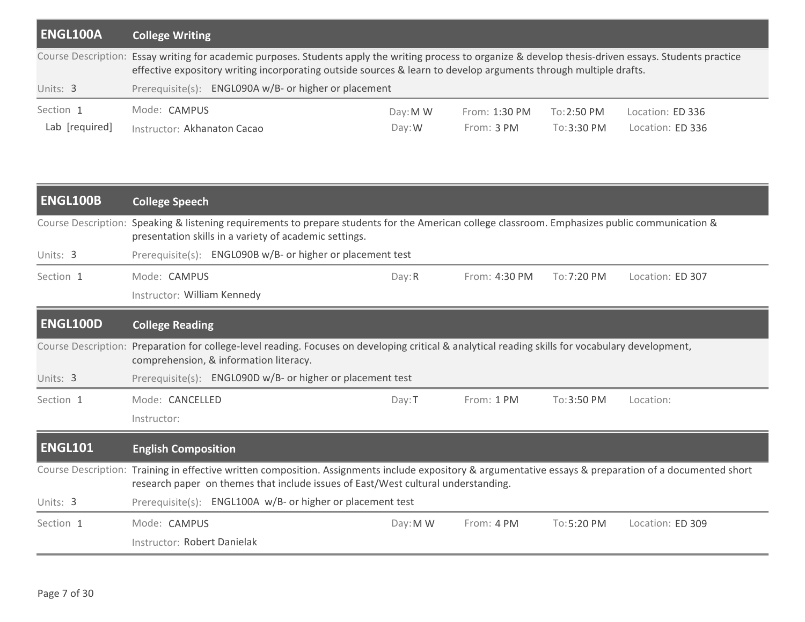| ENGL100A                    | <b>College Writing</b>                                                                                                                                                                                                                                                        |                      |                             |                                      |                                      |  |  |
|-----------------------------|-------------------------------------------------------------------------------------------------------------------------------------------------------------------------------------------------------------------------------------------------------------------------------|----------------------|-----------------------------|--------------------------------------|--------------------------------------|--|--|
|                             | Course Description: Essay writing for academic purposes. Students apply the writing process to organize & develop thesis-driven essays. Students practice<br>effective expository writing incorporating outside sources & learn to develop arguments through multiple drafts. |                      |                             |                                      |                                      |  |  |
| Units: 3                    | Prerequisite(s): ENGL090A w/B- or higher or placement                                                                                                                                                                                                                         |                      |                             |                                      |                                      |  |  |
| Section 1<br>Lab [required] | Mode: CAMPUS<br>Instructor: Akhanaton Cacao                                                                                                                                                                                                                                   | Day: M W<br>$Day:$ W | From: 1:30 PM<br>From: 3 PM | $To:2:50 \text{ PM}$<br>$To:3:30$ PM | Location: ED 336<br>Location: ED 336 |  |  |

| <b>ENGL100B</b>            | <b>College Speech</b>                                                                                                                                                                                                                         |  |  |  |  |  |  |  |
|----------------------------|-----------------------------------------------------------------------------------------------------------------------------------------------------------------------------------------------------------------------------------------------|--|--|--|--|--|--|--|
| <b>Course Description:</b> | Speaking & listening requirements to prepare students for the American college classroom. Emphasizes public communication &<br>presentation skills in a variety of academic settings.                                                         |  |  |  |  |  |  |  |
| Units: 3                   | Prerequisite(s): ENGL090B w/B- or higher or placement test                                                                                                                                                                                    |  |  |  |  |  |  |  |
| Section 1                  | Mode: CAMPUS<br>Location: ED 307<br>Day: R<br>From: 4:30 PM<br>To: 7:20 PM                                                                                                                                                                    |  |  |  |  |  |  |  |
|                            | Instructor: William Kennedy                                                                                                                                                                                                                   |  |  |  |  |  |  |  |
| <b>ENGL100D</b>            | <b>College Reading</b>                                                                                                                                                                                                                        |  |  |  |  |  |  |  |
| <b>Course Description:</b> | Preparation for college-level reading. Focuses on developing critical & analytical reading skills for vocabulary development,<br>comprehension, & information literacy.                                                                       |  |  |  |  |  |  |  |
| Units: 3                   | Prerequisite(s): ENGL090D w/B- or higher or placement test                                                                                                                                                                                    |  |  |  |  |  |  |  |
| Section 1                  | Mode: CANCELLED<br>From: 1 PM<br>To: 3:50 PM<br>Location:<br>Day: T                                                                                                                                                                           |  |  |  |  |  |  |  |
|                            | Instructor:                                                                                                                                                                                                                                   |  |  |  |  |  |  |  |
| <b>ENGL101</b>             | <b>English Composition</b>                                                                                                                                                                                                                    |  |  |  |  |  |  |  |
|                            | Course Description: Training in effective written composition. Assignments include expository & argumentative essays & preparation of a documented short<br>research paper on themes that include issues of East/West cultural understanding. |  |  |  |  |  |  |  |
| Units: 3                   | Prerequisite(s): ENGL100A w/B- or higher or placement test                                                                                                                                                                                    |  |  |  |  |  |  |  |
| Section 1                  | Mode: CAMPUS<br>Day: M W<br>From: 4 PM<br>To:5:20 PM<br>Location: ED 309                                                                                                                                                                      |  |  |  |  |  |  |  |
|                            | Instructor: Robert Danielak                                                                                                                                                                                                                   |  |  |  |  |  |  |  |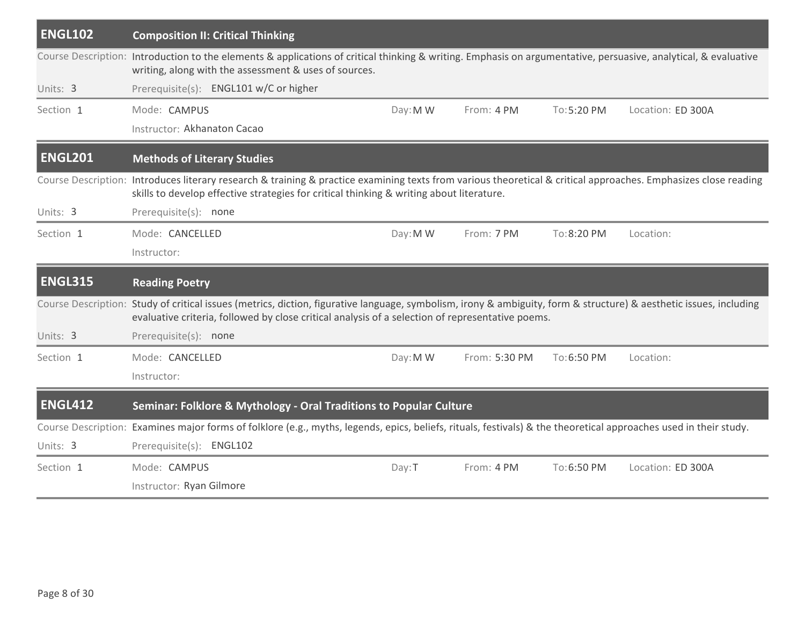| <b>ENGL102</b> | <b>Composition II: Critical Thinking</b>                                                                                                                                                                                                                               |          |               |            |                   |
|----------------|------------------------------------------------------------------------------------------------------------------------------------------------------------------------------------------------------------------------------------------------------------------------|----------|---------------|------------|-------------------|
|                | Course Description: Introduction to the elements & applications of critical thinking & writing. Emphasis on argumentative, persuasive, analytical, & evaluative<br>writing, along with the assessment & uses of sources.                                               |          |               |            |                   |
| Units: 3       | Prerequisite(s): ENGL101 w/C or higher                                                                                                                                                                                                                                 |          |               |            |                   |
| Section 1      | Mode: CAMPUS                                                                                                                                                                                                                                                           | Day: M W | From: 4 PM    | To:5:20 PM | Location: ED 300A |
|                | Instructor: Akhanaton Cacao                                                                                                                                                                                                                                            |          |               |            |                   |
| <b>ENGL201</b> | <b>Methods of Literary Studies</b>                                                                                                                                                                                                                                     |          |               |            |                   |
|                | Course Description: Introduces literary research & training & practice examining texts from various theoretical & critical approaches. Emphasizes close reading<br>skills to develop effective strategies for critical thinking & writing about literature.            |          |               |            |                   |
| Units: 3       | Prerequisite(s): none                                                                                                                                                                                                                                                  |          |               |            |                   |
| Section 1      | Mode: CANCELLED                                                                                                                                                                                                                                                        | Day: M W | From: 7 PM    | To:8:20 PM | Location:         |
|                | Instructor:                                                                                                                                                                                                                                                            |          |               |            |                   |
| <b>ENGL315</b> | <b>Reading Poetry</b>                                                                                                                                                                                                                                                  |          |               |            |                   |
|                | Course Description: Study of critical issues (metrics, diction, figurative language, symbolism, irony & ambiguity, form & structure) & aesthetic issues, including<br>evaluative criteria, followed by close critical analysis of a selection of representative poems. |          |               |            |                   |
| Units: 3       | Prerequisite(s): none                                                                                                                                                                                                                                                  |          |               |            |                   |
| Section 1      | Mode: CANCELLED                                                                                                                                                                                                                                                        | Day: M W | From: 5:30 PM | To:6:50 PM | Location:         |
|                | Instructor:                                                                                                                                                                                                                                                            |          |               |            |                   |
| <b>ENGL412</b> | Seminar: Folklore & Mythology - Oral Traditions to Popular Culture                                                                                                                                                                                                     |          |               |            |                   |
|                | Course Description: Examines major forms of folklore (e.g., myths, legends, epics, beliefs, rituals, festivals) & the theoretical approaches used in their study.                                                                                                      |          |               |            |                   |
| Units: 3       | Prerequisite(s): ENGL102                                                                                                                                                                                                                                               |          |               |            |                   |
|                |                                                                                                                                                                                                                                                                        |          |               |            |                   |
| Section 1      | Mode: CAMPUS                                                                                                                                                                                                                                                           | Day:T    | From: 4 PM    | To:6:50 PM | Location: ED 300A |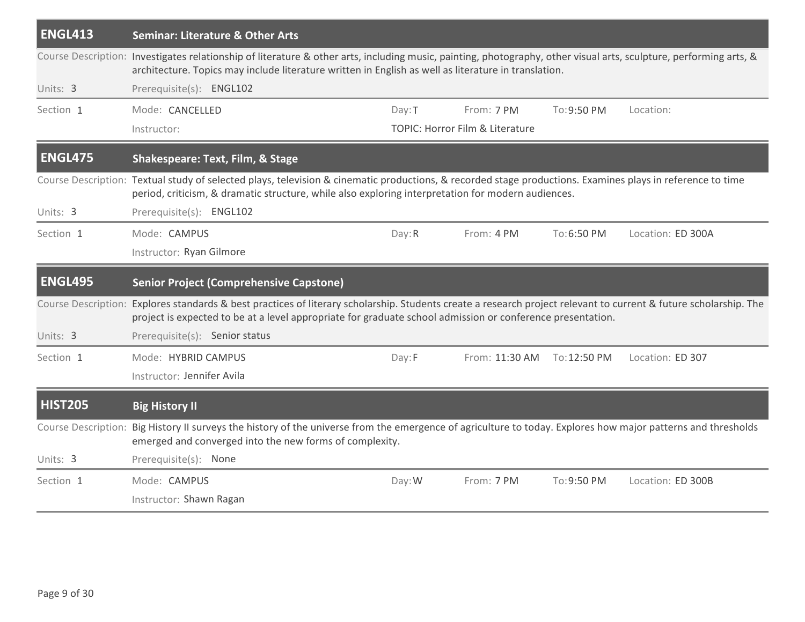| <b>ENGL413</b>             | <b>Seminar: Literature &amp; Other Arts</b>                                                                                                                                                                                                                                |        |                                 |              |                   |
|----------------------------|----------------------------------------------------------------------------------------------------------------------------------------------------------------------------------------------------------------------------------------------------------------------------|--------|---------------------------------|--------------|-------------------|
|                            | Course Description: Investigates relationship of literature & other arts, including music, painting, photography, other visual arts, sculpture, performing arts, &<br>architecture. Topics may include literature written in English as well as literature in translation. |        |                                 |              |                   |
| Units: 3                   | Prerequisite(s): ENGL102                                                                                                                                                                                                                                                   |        |                                 |              |                   |
| Section 1                  | Mode: CANCELLED                                                                                                                                                                                                                                                            | Day: T | From: 7 PM                      | To: 9:50 PM  | Location:         |
|                            | Instructor:                                                                                                                                                                                                                                                                |        | TOPIC: Horror Film & Literature |              |                   |
| <b>ENGL475</b>             | <b>Shakespeare: Text, Film, &amp; Stage</b>                                                                                                                                                                                                                                |        |                                 |              |                   |
|                            | Course Description: Textual study of selected plays, television & cinematic productions, & recorded stage productions. Examines plays in reference to time<br>period, criticism, & dramatic structure, while also exploring interpretation for modern audiences.           |        |                                 |              |                   |
| Units: 3                   | Prerequisite(s): ENGL102                                                                                                                                                                                                                                                   |        |                                 |              |                   |
| Section 1                  | Mode: CAMPUS                                                                                                                                                                                                                                                               | Day: R | From: 4 PM                      | To:6:50 PM   | Location: ED 300A |
|                            | Instructor: Ryan Gilmore                                                                                                                                                                                                                                                   |        |                                 |              |                   |
| <b>ENGL495</b>             | <b>Senior Project (Comprehensive Capstone)</b>                                                                                                                                                                                                                             |        |                                 |              |                   |
| Course Description:        | Explores standards & best practices of literary scholarship. Students create a research project relevant to current & future scholarship. The<br>project is expected to be at a level appropriate for graduate school admission or conference presentation.                |        |                                 |              |                   |
| Units: 3                   | Prerequisite(s): Senior status                                                                                                                                                                                                                                             |        |                                 |              |                   |
| Section 1                  | Mode: HYBRID CAMPUS                                                                                                                                                                                                                                                        | Day:F  | From: 11:30 AM                  | To: 12:50 PM | Location: ED 307  |
|                            | Instructor: Jennifer Avila                                                                                                                                                                                                                                                 |        |                                 |              |                   |
| <b>HIST205</b>             | <b>Big History II</b>                                                                                                                                                                                                                                                      |        |                                 |              |                   |
|                            |                                                                                                                                                                                                                                                                            |        |                                 |              |                   |
| <b>Course Description:</b> | Big History II surveys the history of the universe from the emergence of agriculture to today. Explores how major patterns and thresholds<br>emerged and converged into the new forms of complexity.                                                                       |        |                                 |              |                   |
| Units: 3                   | Prerequisite(s): None                                                                                                                                                                                                                                                      |        |                                 |              |                   |
| Section 1                  | Mode: CAMPUS                                                                                                                                                                                                                                                               | Day: W | From: 7 PM                      | To: 9:50 PM  | Location: ED 300B |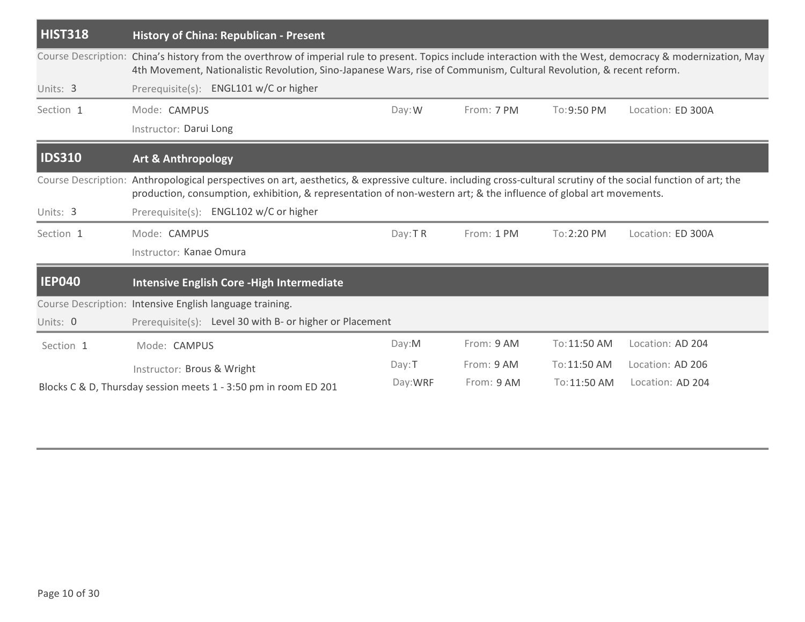| <b>HIST318</b> | <b>History of China: Republican - Present</b>                                                                                                                                                                                                                                         |          |            |              |                   |  |  |  |
|----------------|---------------------------------------------------------------------------------------------------------------------------------------------------------------------------------------------------------------------------------------------------------------------------------------|----------|------------|--------------|-------------------|--|--|--|
|                | Course Description: China's history from the overthrow of imperial rule to present. Topics include interaction with the West, democracy & modernization, May<br>4th Movement, Nationalistic Revolution, Sino-Japanese Wars, rise of Communism, Cultural Revolution, & recent reform.  |          |            |              |                   |  |  |  |
| Units: 3       | Prerequisite(s): ENGL101 w/C or higher                                                                                                                                                                                                                                                |          |            |              |                   |  |  |  |
| Section 1      | Mode: CAMPUS                                                                                                                                                                                                                                                                          | Day:W    | From: 7 PM | To: 9:50 PM  | Location: ED 300A |  |  |  |
|                | Instructor: Darui Long                                                                                                                                                                                                                                                                |          |            |              |                   |  |  |  |
| <b>IDS310</b>  | Art & Anthropology                                                                                                                                                                                                                                                                    |          |            |              |                   |  |  |  |
|                | Course Description: Anthropological perspectives on art, aesthetics, & expressive culture. including cross-cultural scrutiny of the social function of art; the<br>production, consumption, exhibition, & representation of non-western art; & the influence of global art movements. |          |            |              |                   |  |  |  |
| Units: 3       | Prerequisite(s): ENGL102 w/C or higher                                                                                                                                                                                                                                                |          |            |              |                   |  |  |  |
| Section 1      | Mode: CAMPUS                                                                                                                                                                                                                                                                          | Day: TR  | From: 1 PM | To: 2:20 PM  | Location: ED 300A |  |  |  |
|                | Instructor: Kanae Omura                                                                                                                                                                                                                                                               |          |            |              |                   |  |  |  |
| <b>IEP040</b>  | Intensive English Core - High Intermediate                                                                                                                                                                                                                                            |          |            |              |                   |  |  |  |
|                | Course Description: Intensive English language training.                                                                                                                                                                                                                              |          |            |              |                   |  |  |  |
| Units: 0       | Prerequisite(s): Level 30 with B- or higher or Placement                                                                                                                                                                                                                              |          |            |              |                   |  |  |  |
| Section 1      | Mode: CAMPUS                                                                                                                                                                                                                                                                          | Day: M   | From: 9 AM | To: 11:50 AM | Location: AD 204  |  |  |  |
|                | Instructor: Brous & Wright                                                                                                                                                                                                                                                            | Day: T   | From: 9 AM | To:11:50 AM  | Location: AD 206  |  |  |  |
|                | Blocks C & D, Thursday session meets 1 - 3:50 pm in room ED 201                                                                                                                                                                                                                       | Day: WRF | From: 9 AM | To:11:50 AM  | Location: AD 204  |  |  |  |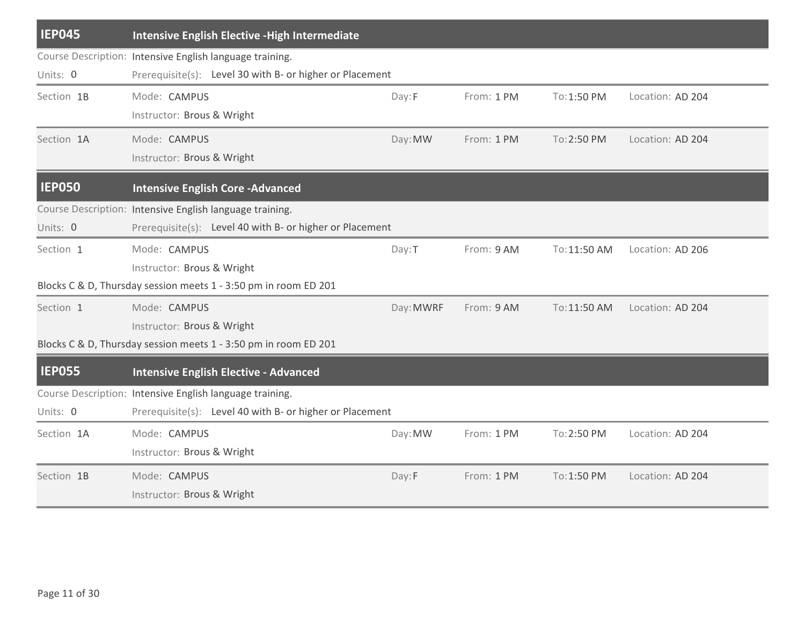| <b>IEP045</b> | <b>Intensive English Elective - High Intermediate</b>           |           |            |              |                  |
|---------------|-----------------------------------------------------------------|-----------|------------|--------------|------------------|
|               | Course Description: Intensive English language training.        |           |            |              |                  |
| Units: 0      | Prerequisite(s): Level 30 with B- or higher or Placement        |           |            |              |                  |
| Section 1B    | Mode: CAMPUS                                                    | Day:F     | From: 1 PM | To: 1:50 PM  | Location: AD 204 |
|               | Instructor: Brous & Wright                                      |           |            |              |                  |
| Section 1A    | Mode: CAMPUS                                                    | Day: MW   | From: 1 PM | To: 2:50 PM  | Location: AD 204 |
|               | Instructor: Brous & Wright                                      |           |            |              |                  |
| <b>IEP050</b> | <b>Intensive English Core - Advanced</b>                        |           |            |              |                  |
|               | Course Description: Intensive English language training.        |           |            |              |                  |
| Units: 0      | Prerequisite(s): Level 40 with B- or higher or Placement        |           |            |              |                  |
| Section 1     | Mode: CAMPUS                                                    | Day: T    | From: 9 AM | To: 11:50 AM | Location: AD 206 |
|               | Instructor: Brous & Wright                                      |           |            |              |                  |
|               | Blocks C & D, Thursday session meets 1 - 3:50 pm in room ED 201 |           |            |              |                  |
| Section 1     | Mode: CAMPUS                                                    | Day: MWRF | From: 9 AM | To: 11:50 AM | Location: AD 204 |
|               | Instructor: Brous & Wright                                      |           |            |              |                  |
|               | Blocks C & D, Thursday session meets 1 - 3:50 pm in room ED 201 |           |            |              |                  |
| <b>IEP055</b> | <b>Intensive English Elective - Advanced</b>                    |           |            |              |                  |
|               | Course Description: Intensive English language training.        |           |            |              |                  |
| Units: 0      | Prerequisite(s): Level 40 with B- or higher or Placement        |           |            |              |                  |
| Section 1A    | Mode: CAMPUS                                                    | Day: MW   | From: 1 PM | To: 2:50 PM  | Location: AD 204 |
|               | Instructor: Brous & Wright                                      |           |            |              |                  |
| Section 1B    | Mode: CAMPUS                                                    | Day:F     | From: 1 PM | To: 1:50 PM  | Location: AD 204 |
|               | Instructor: Brous & Wright                                      |           |            |              |                  |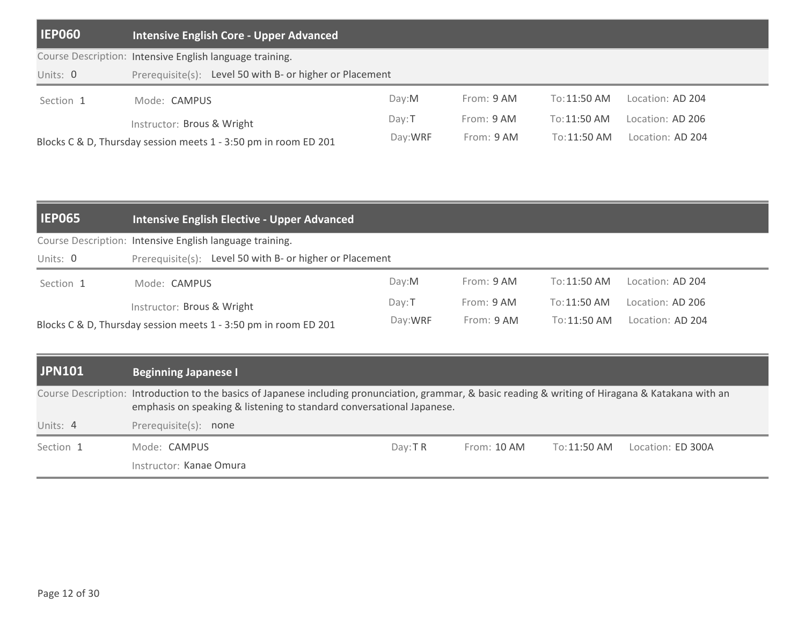| <b>IEP060</b> | <b>Intensive English Core - Upper Advanced</b>                  |          |            |              |                  |
|---------------|-----------------------------------------------------------------|----------|------------|--------------|------------------|
|               | Course Description: Intensive English language training.        |          |            |              |                  |
| Units: 0      | Prerequisite(s): Level 50 with B- or higher or Placement        |          |            |              |                  |
| Section 1     | Mode: CAMPUS                                                    | Day: M   | From: 9 AM | To:11:50 AM  | Location: AD 204 |
|               | Instructor: Brous & Wright                                      | $Dav:$ T | From: 9 AM | To:11:50 AM  | Location: AD 206 |
|               | Blocks C & D, Thursday session meets 1 - 3:50 pm in room ED 201 | Day: WRF | From: 9 AM | To: 11:50 AM | Location: AD 204 |

| <b>IEP065</b> | Intensive English Elective - Upper Advanced                     |          |            |              |                  |
|---------------|-----------------------------------------------------------------|----------|------------|--------------|------------------|
|               | Course Description: Intensive English language training.        |          |            |              |                  |
| Units: 0      | Prerequisite(s): Level 50 with B- or higher or Placement        |          |            |              |                  |
| Section 1     | Mode: <b>CAMPUS</b>                                             | Dav:M    | From: 9 AM | To:11:50 AM  | Location: AD 204 |
|               | Instructor: Brous & Wright                                      | $Dav:$ T | From: 9 AM | To: 11:50 AM | Location: AD 206 |
|               | Blocks C & D, Thursday session meets 1 - 3:50 pm in room ED 201 | Day: WRF | From: 9 AM | To:11:50 AM  | Location: AD 204 |

| <b>JPN101</b> | <b>Beginning Japanese I</b>                                                                                                                                                                                                    |           |             |              |                   |  |
|---------------|--------------------------------------------------------------------------------------------------------------------------------------------------------------------------------------------------------------------------------|-----------|-------------|--------------|-------------------|--|
|               | Course Description: Introduction to the basics of Japanese including pronunciation, grammar, & basic reading & writing of Hiragana & Katakana with an<br>emphasis on speaking & listening to standard conversational Japanese. |           |             |              |                   |  |
| Units: 4      | Prerequisite(s): none                                                                                                                                                                                                          |           |             |              |                   |  |
| Section 1     | Mode: CAMPUS                                                                                                                                                                                                                   | Day: $TR$ | From: 10 AM | To: 11:50 AM | Location: ED 300A |  |
|               | Instructor: Kanae Omura                                                                                                                                                                                                        |           |             |              |                   |  |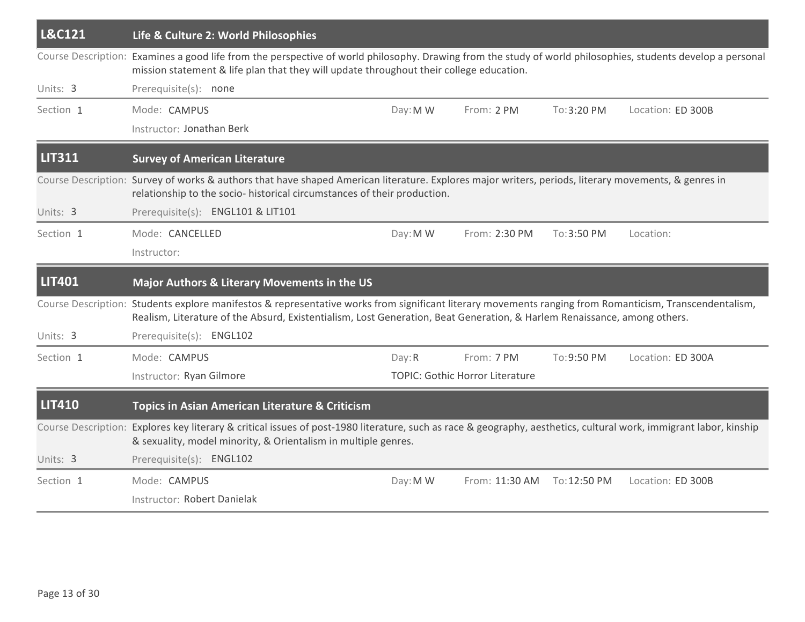| L&C121        | Life & Culture 2: World Philosophies                                                                                                                                                                                                                                                |          |                                        |              |                   |
|---------------|-------------------------------------------------------------------------------------------------------------------------------------------------------------------------------------------------------------------------------------------------------------------------------------|----------|----------------------------------------|--------------|-------------------|
|               | Course Description: Examines a good life from the perspective of world philosophy. Drawing from the study of world philosophies, students develop a personal<br>mission statement & life plan that they will update throughout their college education.                             |          |                                        |              |                   |
| Units: 3      | Prerequisite(s): none                                                                                                                                                                                                                                                               |          |                                        |              |                   |
| Section 1     | Mode: CAMPUS                                                                                                                                                                                                                                                                        | Day: M W | From: 2 PM                             | To: 3:20 PM  | Location: ED 300B |
|               | Instructor: Jonathan Berk                                                                                                                                                                                                                                                           |          |                                        |              |                   |
| <b>LIT311</b> | <b>Survey of American Literature</b>                                                                                                                                                                                                                                                |          |                                        |              |                   |
|               | Course Description: Survey of works & authors that have shaped American literature. Explores major writers, periods, literary movements, & genres in<br>relationship to the socio- historical circumstances of their production.                                                    |          |                                        |              |                   |
| Units: 3      | Prerequisite(s): ENGL101 & LIT101                                                                                                                                                                                                                                                   |          |                                        |              |                   |
| Section 1     | Mode: CANCELLED                                                                                                                                                                                                                                                                     | Day: M W | From: 2:30 PM                          | To: 3:50 PM  | Location:         |
|               | Instructor:                                                                                                                                                                                                                                                                         |          |                                        |              |                   |
| <b>LIT401</b> | Major Authors & Literary Movements in the US                                                                                                                                                                                                                                        |          |                                        |              |                   |
|               | Course Description: Students explore manifestos & representative works from significant literary movements ranging from Romanticism, Transcendentalism,<br>Realism, Literature of the Absurd, Existentialism, Lost Generation, Beat Generation, & Harlem Renaissance, among others. |          |                                        |              |                   |
| Units: 3      | Prerequisite(s): ENGL102                                                                                                                                                                                                                                                            |          |                                        |              |                   |
| Section 1     | Mode: CAMPUS                                                                                                                                                                                                                                                                        | Day: R   | From: 7 PM                             | To:9:50 PM   | Location: ED 300A |
|               | Instructor: Ryan Gilmore                                                                                                                                                                                                                                                            |          | <b>TOPIC: Gothic Horror Literature</b> |              |                   |
| <b>LIT410</b> | <b>Topics in Asian American Literature &amp; Criticism</b>                                                                                                                                                                                                                          |          |                                        |              |                   |
|               | Course Description: Explores key literary & critical issues of post-1980 literature, such as race & geography, aesthetics, cultural work, immigrant labor, kinship<br>& sexuality, model minority, & Orientalism in multiple genres.                                                |          |                                        |              |                   |
| Units: 3      | Prerequisite(s): ENGL102                                                                                                                                                                                                                                                            |          |                                        |              |                   |
| Section 1     | Mode: CAMPUS                                                                                                                                                                                                                                                                        | Day: M W | From: 11:30 AM                         | To: 12:50 PM | Location: ED 300B |
|               | Instructor: Robert Danielak                                                                                                                                                                                                                                                         |          |                                        |              |                   |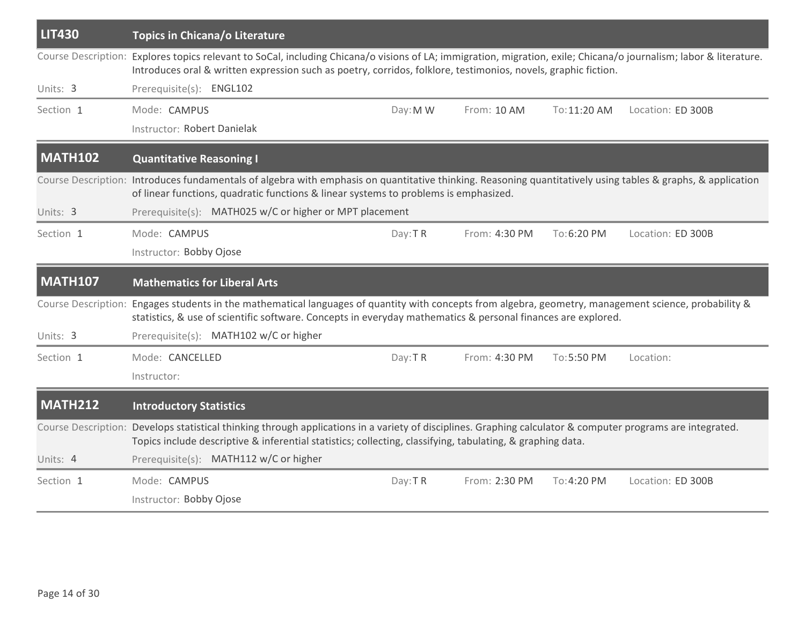| <b>LIT430</b>  | Topics in Chicana/o Literature                                                                                                                                                                                                                                                       |          |               |              |                   |
|----------------|--------------------------------------------------------------------------------------------------------------------------------------------------------------------------------------------------------------------------------------------------------------------------------------|----------|---------------|--------------|-------------------|
|                | Course Description: Explores topics relevant to SoCal, including Chicana/o visions of LA; immigration, migration, exile; Chicana/o journalism; labor & literature.<br>Introduces oral & written expression such as poetry, corridos, folklore, testimonios, novels, graphic fiction. |          |               |              |                   |
| Units: 3       | Prerequisite(s): ENGL102                                                                                                                                                                                                                                                             |          |               |              |                   |
| Section 1      | Mode: CAMPUS                                                                                                                                                                                                                                                                         | Day: M W | From: 10 AM   | To: 11:20 AM | Location: ED 300B |
|                | Instructor: Robert Danielak                                                                                                                                                                                                                                                          |          |               |              |                   |
| <b>MATH102</b> | <b>Quantitative Reasoning I</b>                                                                                                                                                                                                                                                      |          |               |              |                   |
|                | Course Description: Introduces fundamentals of algebra with emphasis on quantitative thinking. Reasoning quantitatively using tables & graphs, & application<br>of linear functions, quadratic functions & linear systems to problems is emphasized.                                 |          |               |              |                   |
| Units: 3       | Prerequisite(s): MATH025 w/C or higher or MPT placement                                                                                                                                                                                                                              |          |               |              |                   |
| Section 1      | Mode: CAMPUS                                                                                                                                                                                                                                                                         | Day:TR   | From: 4:30 PM | To:6:20 PM   | Location: ED 300B |
|                | Instructor: Bobby Ojose                                                                                                                                                                                                                                                              |          |               |              |                   |
| <b>MATH107</b> | <b>Mathematics for Liberal Arts</b>                                                                                                                                                                                                                                                  |          |               |              |                   |
|                |                                                                                                                                                                                                                                                                                      |          |               |              |                   |
|                | Course Description: Engages students in the mathematical languages of quantity with concepts from algebra, geometry, management science, probability &<br>statistics, & use of scientific software. Concepts in everyday mathematics & personal finances are explored.               |          |               |              |                   |
| Units: 3       | Prerequisite(s): MATH102 w/C or higher                                                                                                                                                                                                                                               |          |               |              |                   |
| Section 1      | Mode: CANCELLED                                                                                                                                                                                                                                                                      | Day: TR  | From: 4:30 PM | To:5:50 PM   | Location:         |
|                | Instructor:                                                                                                                                                                                                                                                                          |          |               |              |                   |
| <b>MATH212</b> | <b>Introductory Statistics</b>                                                                                                                                                                                                                                                       |          |               |              |                   |
|                | Course Description: Develops statistical thinking through applications in a variety of disciplines. Graphing calculator & computer programs are integrated.<br>Topics include descriptive & inferential statistics; collecting, classifying, tabulating, & graphing data.            |          |               |              |                   |
| Units: 4       | Prerequisite(s): MATH112 w/C or higher                                                                                                                                                                                                                                               |          |               |              |                   |
| Section 1      | Mode: CAMPUS                                                                                                                                                                                                                                                                         | Day: TR  | From: 2:30 PM | To:4:20 PM   | Location: ED 300B |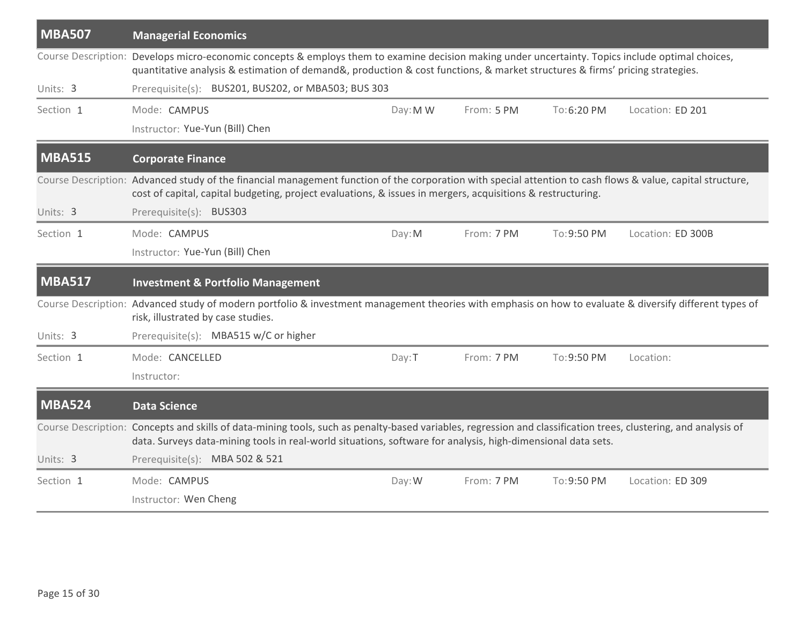| <b>MBA507</b> | <b>Managerial Economics</b>                                                                                                                                                                                                                                                       |          |            |             |                   |
|---------------|-----------------------------------------------------------------------------------------------------------------------------------------------------------------------------------------------------------------------------------------------------------------------------------|----------|------------|-------------|-------------------|
|               | Course Description: Develops micro-economic concepts & employs them to examine decision making under uncertainty. Topics include optimal choices,<br>quantitative analysis & estimation of demand&, production & cost functions, & market structures & firms' pricing strategies. |          |            |             |                   |
| Units: 3      | Prerequisite(s): BUS201, BUS202, or MBA503; BUS 303                                                                                                                                                                                                                               |          |            |             |                   |
| Section 1     | Mode: CAMPUS                                                                                                                                                                                                                                                                      | Day: M W | From: 5 PM | To:6:20 PM  | Location: ED 201  |
|               | Instructor: Yue-Yun (Bill) Chen                                                                                                                                                                                                                                                   |          |            |             |                   |
| <b>MBA515</b> | <b>Corporate Finance</b>                                                                                                                                                                                                                                                          |          |            |             |                   |
|               | Course Description: Advanced study of the financial management function of the corporation with special attention to cash flows & value, capital structure,<br>cost of capital, capital budgeting, project evaluations, & issues in mergers, acquisitions & restructuring.        |          |            |             |                   |
| Units: 3      | Prerequisite(s): BUS303                                                                                                                                                                                                                                                           |          |            |             |                   |
| Section 1     | Mode: CAMPUS                                                                                                                                                                                                                                                                      | Day: M   | From: 7 PM | To: 9:50 PM | Location: ED 300B |
|               | Instructor: Yue-Yun (Bill) Chen                                                                                                                                                                                                                                                   |          |            |             |                   |
|               |                                                                                                                                                                                                                                                                                   |          |            |             |                   |
| <b>MBA517</b> | <b>Investment &amp; Portfolio Management</b>                                                                                                                                                                                                                                      |          |            |             |                   |
|               | Course Description: Advanced study of modern portfolio & investment management theories with emphasis on how to evaluate & diversify different types of<br>risk, illustrated by case studies.                                                                                     |          |            |             |                   |
| Units: 3      | Prerequisite(s): MBA515 w/C or higher                                                                                                                                                                                                                                             |          |            |             |                   |
| Section 1     | Mode: CANCELLED                                                                                                                                                                                                                                                                   | Day: T   | From: 7 PM | To: 9:50 PM | Location:         |
|               | Instructor:                                                                                                                                                                                                                                                                       |          |            |             |                   |
| <b>MBA524</b> | <b>Data Science</b>                                                                                                                                                                                                                                                               |          |            |             |                   |
|               | Course Description: Concepts and skills of data-mining tools, such as penalty-based variables, regression and classification trees, clustering, and analysis of<br>data. Surveys data-mining tools in real-world situations, software for analysis, high-dimensional data sets.   |          |            |             |                   |
| Units: 3      | Prerequisite(s): MBA 502 & 521                                                                                                                                                                                                                                                    |          |            |             |                   |
| Section 1     | Mode: CAMPUS                                                                                                                                                                                                                                                                      | Day: W   | From: 7 PM | To: 9:50 PM | Location: ED 309  |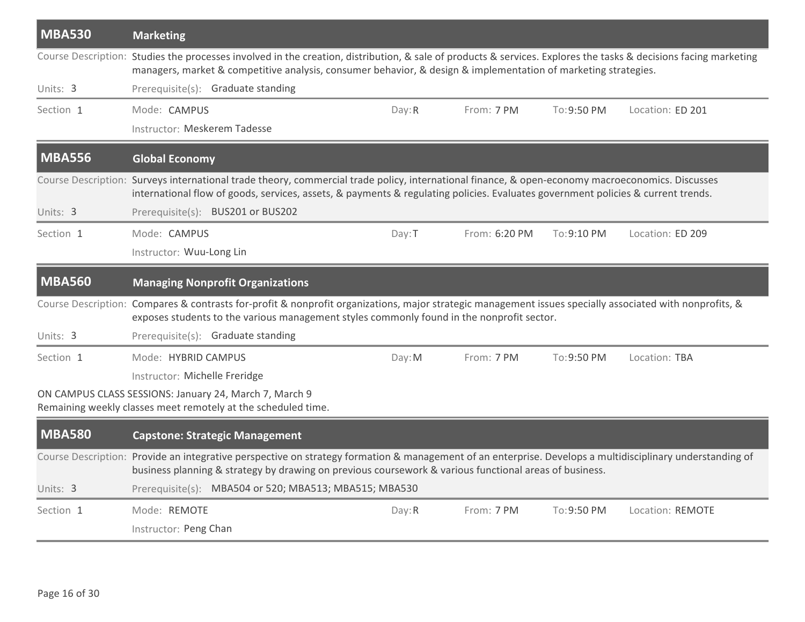| <b>MBA530</b> | <b>Marketing</b>                                                                                                                                                                                                                                                                     |        |               |             |                  |
|---------------|--------------------------------------------------------------------------------------------------------------------------------------------------------------------------------------------------------------------------------------------------------------------------------------|--------|---------------|-------------|------------------|
|               | Course Description: Studies the processes involved in the creation, distribution, & sale of products & services. Explores the tasks & decisions facing marketing<br>managers, market & competitive analysis, consumer behavior, & design & implementation of marketing strategies.   |        |               |             |                  |
| Units: 3      | Prerequisite(s): Graduate standing                                                                                                                                                                                                                                                   |        |               |             |                  |
| Section 1     | Mode: CAMPUS                                                                                                                                                                                                                                                                         | Day: R | From: 7 PM    | To: 9:50 PM | Location: ED 201 |
|               | Instructor: Meskerem Tadesse                                                                                                                                                                                                                                                         |        |               |             |                  |
| <b>MBA556</b> | <b>Global Economy</b>                                                                                                                                                                                                                                                                |        |               |             |                  |
|               | Course Description: Surveys international trade theory, commercial trade policy, international finance, & open-economy macroeconomics. Discusses<br>international flow of goods, services, assets, & payments & regulating policies. Evaluates government policies & current trends. |        |               |             |                  |
| Units: 3      | Prerequisite(s): BUS201 or BUS202                                                                                                                                                                                                                                                    |        |               |             |                  |
| Section 1     | Mode: CAMPUS                                                                                                                                                                                                                                                                         | Day: T | From: 6:20 PM | To:9:10 PM  | Location: ED 209 |
|               | Instructor: Wuu-Long Lin                                                                                                                                                                                                                                                             |        |               |             |                  |
| <b>MBA560</b> | <b>Managing Nonprofit Organizations</b>                                                                                                                                                                                                                                              |        |               |             |                  |
|               | Course Description: Compares & contrasts for-profit & nonprofit organizations, major strategic management issues specially associated with nonprofits, &<br>exposes students to the various management styles commonly found in the nonprofit sector.                                |        |               |             |                  |
| Units: 3      | Prerequisite(s): Graduate standing                                                                                                                                                                                                                                                   |        |               |             |                  |
| Section 1     | Mode: HYBRID CAMPUS                                                                                                                                                                                                                                                                  | Day: M | From: 7 PM    | To: 9:50 PM | Location: TBA    |
|               | Instructor: Michelle Freridge                                                                                                                                                                                                                                                        |        |               |             |                  |
|               | ON CAMPUS CLASS SESSIONS: January 24, March 7, March 9<br>Remaining weekly classes meet remotely at the scheduled time.                                                                                                                                                              |        |               |             |                  |
| <b>MBA580</b> | <b>Capstone: Strategic Management</b>                                                                                                                                                                                                                                                |        |               |             |                  |
|               | Course Description: Provide an integrative perspective on strategy formation & management of an enterprise. Develops a multidisciplinary understanding of<br>business planning & strategy by drawing on previous coursework & various functional areas of business.                  |        |               |             |                  |
| Units: 3      | Prerequisite(s): MBA504 or 520; MBA513; MBA515; MBA530                                                                                                                                                                                                                               |        |               |             |                  |
| Section 1     | Mode: REMOTE                                                                                                                                                                                                                                                                         | Day: R | From: 7 PM    | To: 9:50 PM | Location: REMOTE |
|               | Instructor: Peng Chan                                                                                                                                                                                                                                                                |        |               |             |                  |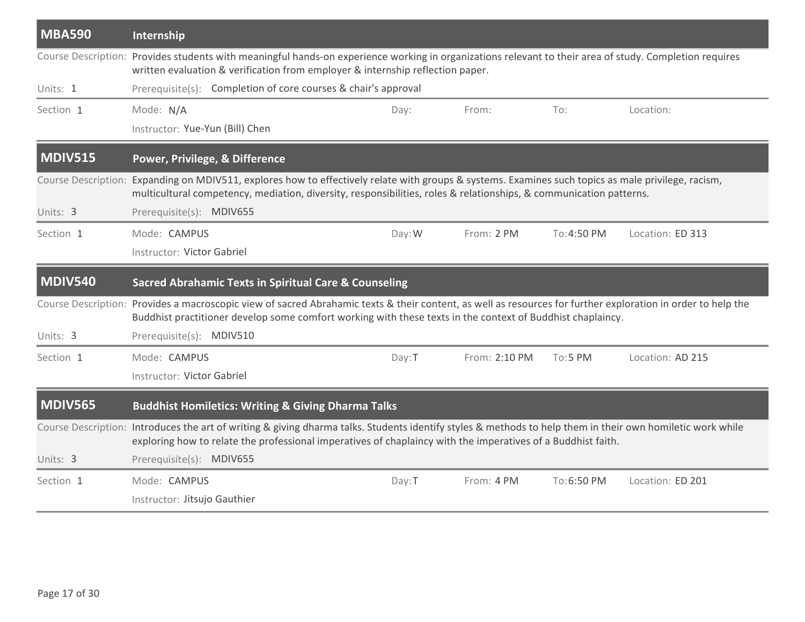| <b>MBA590</b>  | Internship                                                                                                                                                                                                                                                                 |        |               |             |                  |
|----------------|----------------------------------------------------------------------------------------------------------------------------------------------------------------------------------------------------------------------------------------------------------------------------|--------|---------------|-------------|------------------|
|                | Course Description: Provides students with meaningful hands-on experience working in organizations relevant to their area of study. Completion requires<br>written evaluation & verification from employer & internship reflection paper.                                  |        |               |             |                  |
| Units: 1       | Prerequisite(s): Completion of core courses & chair's approval                                                                                                                                                                                                             |        |               |             |                  |
| Section 1      | Mode: N/A                                                                                                                                                                                                                                                                  | Day:   | From:         | To:         | Location:        |
|                | Instructor: Yue-Yun (Bill) Chen                                                                                                                                                                                                                                            |        |               |             |                  |
| MDIV515        | Power, Privilege, & Difference                                                                                                                                                                                                                                             |        |               |             |                  |
|                | Course Description: Expanding on MDIV511, explores how to effectively relate with groups & systems. Examines such topics as male privilege, racism,<br>multicultural competency, mediation, diversity, responsibilities, roles & relationships, & communication patterns.  |        |               |             |                  |
| Units: 3       | Prerequisite(s): MDIV655                                                                                                                                                                                                                                                   |        |               |             |                  |
| Section 1      | Mode: CAMPUS                                                                                                                                                                                                                                                               | Day: W | From: 2 PM    | To: 4:50 PM | Location: ED 313 |
|                | Instructor: Victor Gabriel                                                                                                                                                                                                                                                 |        |               |             |                  |
|                |                                                                                                                                                                                                                                                                            |        |               |             |                  |
| <b>MDIV540</b> | <b>Sacred Abrahamic Texts in Spiritual Care &amp; Counseling</b>                                                                                                                                                                                                           |        |               |             |                  |
|                | Course Description: Provides a macroscopic view of sacred Abrahamic texts & their content, as well as resources for further exploration in order to help the<br>Buddhist practitioner develop some comfort working with these texts in the context of Buddhist chaplaincy. |        |               |             |                  |
| Units: 3       | Prerequisite(s): MDIV510                                                                                                                                                                                                                                                   |        |               |             |                  |
| Section 1      | Mode: CAMPUS                                                                                                                                                                                                                                                               | Day: T | From: 2:10 PM | To:5 PM     | Location: AD 215 |
|                | Instructor: Victor Gabriel                                                                                                                                                                                                                                                 |        |               |             |                  |
| <b>MDIV565</b> | <b>Buddhist Homiletics: Writing &amp; Giving Dharma Talks</b>                                                                                                                                                                                                              |        |               |             |                  |
|                | Course Description: Introduces the art of writing & giving dharma talks. Students identify styles & methods to help them in their own homiletic work while<br>exploring how to relate the professional imperatives of chaplaincy with the imperatives of a Buddhist faith. |        |               |             |                  |
| Units: 3       | Prerequisite(s): MDIV655                                                                                                                                                                                                                                                   |        |               |             |                  |
| Section 1      | Mode: CAMPUS                                                                                                                                                                                                                                                               | Day: T | From: 4 PM    | To:6:50 PM  | Location: ED 201 |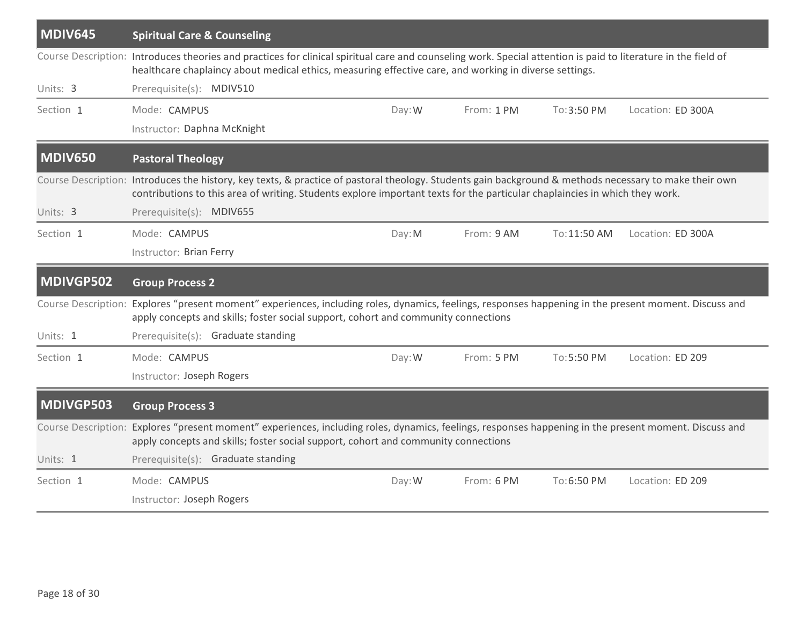| <b>MDIV645</b>             | <b>Spiritual Care &amp; Counseling</b>                                                                                                                                                                                                                                                |        |            |              |                   |
|----------------------------|---------------------------------------------------------------------------------------------------------------------------------------------------------------------------------------------------------------------------------------------------------------------------------------|--------|------------|--------------|-------------------|
|                            | Course Description: Introduces theories and practices for clinical spiritual care and counseling work. Special attention is paid to literature in the field of<br>healthcare chaplaincy about medical ethics, measuring effective care, and working in diverse settings.              |        |            |              |                   |
| Units: 3                   | Prerequisite(s): MDIV510                                                                                                                                                                                                                                                              |        |            |              |                   |
| Section 1                  | Mode: CAMPUS                                                                                                                                                                                                                                                                          | Day: W | From: 1 PM | To:3:50 PM   | Location: ED 300A |
|                            | Instructor: Daphna McKnight                                                                                                                                                                                                                                                           |        |            |              |                   |
| <b>MDIV650</b>             | <b>Pastoral Theology</b>                                                                                                                                                                                                                                                              |        |            |              |                   |
|                            | Course Description: Introduces the history, key texts, & practice of pastoral theology. Students gain background & methods necessary to make their own<br>contributions to this area of writing. Students explore important texts for the particular chaplaincies in which they work. |        |            |              |                   |
| Units: 3                   | Prerequisite(s): MDIV655                                                                                                                                                                                                                                                              |        |            |              |                   |
| Section 1                  | Mode: CAMPUS                                                                                                                                                                                                                                                                          | Day: M | From: 9 AM | To: 11:50 AM | Location: ED 300A |
|                            | Instructor: Brian Ferry                                                                                                                                                                                                                                                               |        |            |              |                   |
| MDIVGP502                  | <b>Group Process 2</b>                                                                                                                                                                                                                                                                |        |            |              |                   |
| Course Description:        | Explores "present moment" experiences, including roles, dynamics, feelings, responses happening in the present moment. Discuss and<br>apply concepts and skills; foster social support, cohort and community connections                                                              |        |            |              |                   |
| Units: 1                   | Prerequisite(s): Graduate standing                                                                                                                                                                                                                                                    |        |            |              |                   |
| Section 1                  | Mode: CAMPUS                                                                                                                                                                                                                                                                          | Day: W | From: 5 PM | To:5:50 PM   | Location: ED 209  |
|                            | Instructor: Joseph Rogers                                                                                                                                                                                                                                                             |        |            |              |                   |
| MDIVGP503                  | <b>Group Process 3</b>                                                                                                                                                                                                                                                                |        |            |              |                   |
| <b>Course Description:</b> | Explores "present moment" experiences, including roles, dynamics, feelings, responses happening in the present moment. Discuss and<br>apply concepts and skills; foster social support, cohort and community connections                                                              |        |            |              |                   |
| Units: 1                   | Prerequisite(s): Graduate standing                                                                                                                                                                                                                                                    |        |            |              |                   |
| Section 1                  |                                                                                                                                                                                                                                                                                       | Day: W | From: 6 PM | To:6:50 PM   | Location: ED 209  |
|                            | Mode: CAMPUS                                                                                                                                                                                                                                                                          |        |            |              |                   |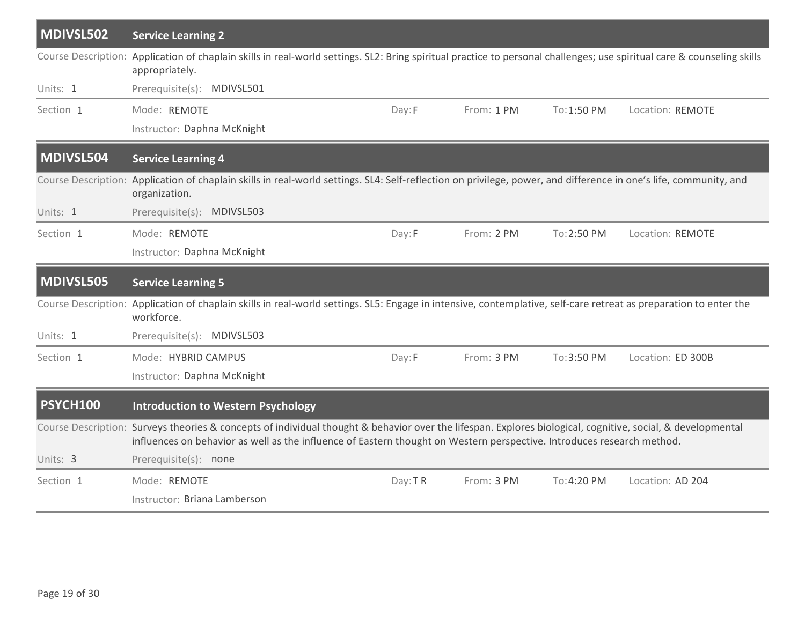| MDIVSL502       | <b>Service Learning 2</b>                                                                                                                                                                                                                                                             |         |            |             |                   |
|-----------------|---------------------------------------------------------------------------------------------------------------------------------------------------------------------------------------------------------------------------------------------------------------------------------------|---------|------------|-------------|-------------------|
|                 | Course Description: Application of chaplain skills in real-world settings. SL2: Bring spiritual practice to personal challenges; use spiritual care & counseling skills<br>appropriately.                                                                                             |         |            |             |                   |
| Units: 1        | Prerequisite(s): MDIVSL501                                                                                                                                                                                                                                                            |         |            |             |                   |
| Section 1       | Mode: REMOTE                                                                                                                                                                                                                                                                          | Day: F  | From: 1 PM | To: 1:50 PM | Location: REMOTE  |
|                 | Instructor: Daphna McKnight                                                                                                                                                                                                                                                           |         |            |             |                   |
| MDIVSL504       | <b>Service Learning 4</b>                                                                                                                                                                                                                                                             |         |            |             |                   |
|                 | Course Description: Application of chaplain skills in real-world settings. SL4: Self-reflection on privilege, power, and difference in one's life, community, and<br>organization.                                                                                                    |         |            |             |                   |
| Units: 1        | Prerequisite(s): MDIVSL503                                                                                                                                                                                                                                                            |         |            |             |                   |
| Section 1       | Mode: REMOTE                                                                                                                                                                                                                                                                          | Day:F   | From: 2 PM | To: 2:50 PM | Location: REMOTE  |
|                 | Instructor: Daphna McKnight                                                                                                                                                                                                                                                           |         |            |             |                   |
| MDIVSL505       | <b>Service Learning 5</b>                                                                                                                                                                                                                                                             |         |            |             |                   |
|                 | Course Description: Application of chaplain skills in real-world settings. SL5: Engage in intensive, contemplative, self-care retreat as preparation to enter the<br>workforce.                                                                                                       |         |            |             |                   |
| Units: 1        | Prerequisite(s): MDIVSL503                                                                                                                                                                                                                                                            |         |            |             |                   |
| Section 1       | Mode: HYBRID CAMPUS                                                                                                                                                                                                                                                                   | Day:F   | From: 3 PM | To: 3:50 PM | Location: ED 300B |
|                 | Instructor: Daphna McKnight                                                                                                                                                                                                                                                           |         |            |             |                   |
| <b>PSYCH100</b> | <b>Introduction to Western Psychology</b>                                                                                                                                                                                                                                             |         |            |             |                   |
|                 | Course Description: Surveys theories & concepts of individual thought & behavior over the lifespan. Explores biological, cognitive, social, & developmental<br>influences on behavior as well as the influence of Eastern thought on Western perspective. Introduces research method. |         |            |             |                   |
| Units: 3        | Prerequisite(s): none                                                                                                                                                                                                                                                                 |         |            |             |                   |
| Section 1       | Mode: REMOTE                                                                                                                                                                                                                                                                          | Day: TR | From: 3 PM | To: 4:20 PM | Location: AD 204  |
|                 | Instructor: Briana Lamberson                                                                                                                                                                                                                                                          |         |            |             |                   |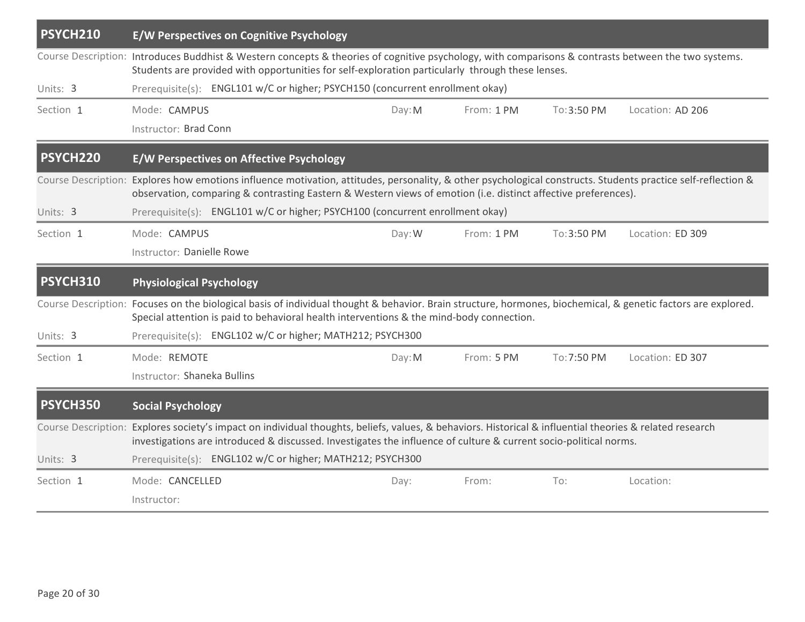| PSYCH210  |                                 | E/W Perspectives on Cognitive Psychology                                                                                                                                                                                                                                      |        |            |             |                                                                                                                                                               |
|-----------|---------------------------------|-------------------------------------------------------------------------------------------------------------------------------------------------------------------------------------------------------------------------------------------------------------------------------|--------|------------|-------------|---------------------------------------------------------------------------------------------------------------------------------------------------------------|
|           |                                 | Students are provided with opportunities for self-exploration particularly through these lenses.                                                                                                                                                                              |        |            |             | Course Description: Introduces Buddhist & Western concepts & theories of cognitive psychology, with comparisons & contrasts between the two systems.          |
| Units: 3  |                                 | Prerequisite(s): ENGL101 w/C or higher; PSYCH150 (concurrent enrollment okay)                                                                                                                                                                                                 |        |            |             |                                                                                                                                                               |
| Section 1 | Mode: CAMPUS                    |                                                                                                                                                                                                                                                                               | Day: M | From: 1 PM | To: 3:50 PM | Location: AD 206                                                                                                                                              |
|           | Instructor: Brad Conn           |                                                                                                                                                                                                                                                                               |        |            |             |                                                                                                                                                               |
| PSYCH220  |                                 | <b>E/W Perspectives on Affective Psychology</b>                                                                                                                                                                                                                               |        |            |             |                                                                                                                                                               |
|           |                                 | observation, comparing & contrasting Eastern & Western views of emotion (i.e. distinct affective preferences).                                                                                                                                                                |        |            |             | Course Description: Explores how emotions influence motivation, attitudes, personality, & other psychological constructs. Students practice self-reflection & |
| Units: 3  |                                 | Prerequisite(s): ENGL101 w/C or higher; PSYCH100 (concurrent enrollment okay)                                                                                                                                                                                                 |        |            |             |                                                                                                                                                               |
| Section 1 | Mode: CAMPUS                    |                                                                                                                                                                                                                                                                               | Day: W | From: 1 PM | To:3:50 PM  | Location: ED 309                                                                                                                                              |
|           | Instructor: Danielle Rowe       |                                                                                                                                                                                                                                                                               |        |            |             |                                                                                                                                                               |
| PSYCH310  | <b>Physiological Psychology</b> |                                                                                                                                                                                                                                                                               |        |            |             |                                                                                                                                                               |
|           |                                 | Special attention is paid to behavioral health interventions & the mind-body connection.                                                                                                                                                                                      |        |            |             | Course Description: Focuses on the biological basis of individual thought & behavior. Brain structure, hormones, biochemical, & genetic factors are explored. |
| Units: 3  |                                 | Prerequisite(s): ENGL102 w/C or higher; MATH212; PSYCH300                                                                                                                                                                                                                     |        |            |             |                                                                                                                                                               |
| Section 1 | Mode: REMOTE                    |                                                                                                                                                                                                                                                                               | Day: M | From: 5 PM | To: 7:50 PM | Location: ED 307                                                                                                                                              |
|           | Instructor: Shaneka Bullins     |                                                                                                                                                                                                                                                                               |        |            |             |                                                                                                                                                               |
| PSYCH350  | <b>Social Psychology</b>        |                                                                                                                                                                                                                                                                               |        |            |             |                                                                                                                                                               |
|           |                                 | Course Description: Explores society's impact on individual thoughts, beliefs, values, & behaviors. Historical & influential theories & related research<br>investigations are introduced & discussed. Investigates the influence of culture & current socio-political norms. |        |            |             |                                                                                                                                                               |
|           |                                 |                                                                                                                                                                                                                                                                               |        |            |             |                                                                                                                                                               |
| Units: 3  |                                 | Prerequisite(s): ENGL102 w/C or higher; MATH212; PSYCH300                                                                                                                                                                                                                     |        |            |             |                                                                                                                                                               |
| Section 1 | Mode: CANCELLED                 |                                                                                                                                                                                                                                                                               | Day:   | From:      | To:         | Location:                                                                                                                                                     |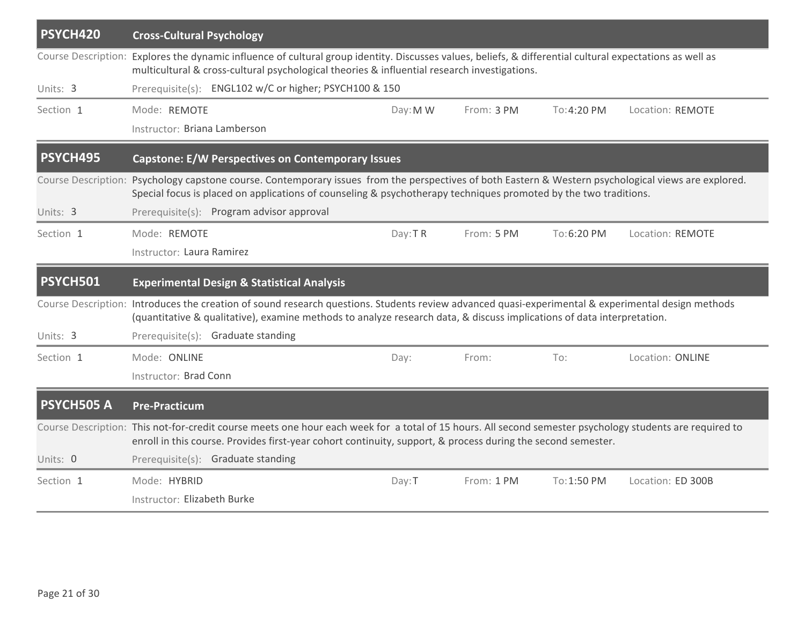| PSYCH420          | <b>Cross-Cultural Psychology</b>                                                                                                                                                                                                                                             |          |            |             |                   |
|-------------------|------------------------------------------------------------------------------------------------------------------------------------------------------------------------------------------------------------------------------------------------------------------------------|----------|------------|-------------|-------------------|
|                   | Course Description: Explores the dynamic influence of cultural group identity. Discusses values, beliefs, & differential cultural expectations as well as<br>multicultural & cross-cultural psychological theories & influential research investigations.                    |          |            |             |                   |
| Units: 3          | Prerequisite(s): ENGL102 w/C or higher; PSYCH100 & 150                                                                                                                                                                                                                       |          |            |             |                   |
| Section 1         | Mode: REMOTE                                                                                                                                                                                                                                                                 | Day: M W | From: 3 PM | To: 4:20 PM | Location: REMOTE  |
|                   | Instructor: Briana Lamberson                                                                                                                                                                                                                                                 |          |            |             |                   |
| PSYCH495          | <b>Capstone: E/W Perspectives on Contemporary Issues</b>                                                                                                                                                                                                                     |          |            |             |                   |
|                   | Course Description: Psychology capstone course. Contemporary issues from the perspectives of both Eastern & Western psychological views are explored.<br>Special focus is placed on applications of counseling & psychotherapy techniques promoted by the two traditions.    |          |            |             |                   |
| Units: 3          | Prerequisite(s): Program advisor approval                                                                                                                                                                                                                                    |          |            |             |                   |
| Section 1         | Mode: REMOTE                                                                                                                                                                                                                                                                 | Day: TR  | From: 5 PM | To:6:20 PM  | Location: REMOTE  |
|                   | Instructor: Laura Ramirez                                                                                                                                                                                                                                                    |          |            |             |                   |
|                   |                                                                                                                                                                                                                                                                              |          |            |             |                   |
| <b>PSYCH501</b>   | <b>Experimental Design &amp; Statistical Analysis</b>                                                                                                                                                                                                                        |          |            |             |                   |
|                   | Course Description: Introduces the creation of sound research questions. Students review advanced quasi-experimental & experimental design methods<br>(quantitative & qualitative), examine methods to analyze research data, & discuss implications of data interpretation. |          |            |             |                   |
| Units: 3          | Prerequisite(s): Graduate standing                                                                                                                                                                                                                                           |          |            |             |                   |
| Section 1         | Mode: ONLINE                                                                                                                                                                                                                                                                 | Day:     | From:      | To:         | Location: ONLINE  |
|                   | Instructor: Brad Conn                                                                                                                                                                                                                                                        |          |            |             |                   |
| <b>PSYCH505 A</b> | <b>Pre-Practicum</b>                                                                                                                                                                                                                                                         |          |            |             |                   |
|                   | Course Description: This not-for-credit course meets one hour each week for a total of 15 hours. All second semester psychology students are required to<br>enroll in this course. Provides first-year cohort continuity, support, & process during the second semester.     |          |            |             |                   |
| Units: 0          | Prerequisite(s): Graduate standing                                                                                                                                                                                                                                           |          |            |             |                   |
| Section 1         | Mode: HYBRID                                                                                                                                                                                                                                                                 | Day: T   | From: 1 PM | To: 1:50 PM | Location: ED 300B |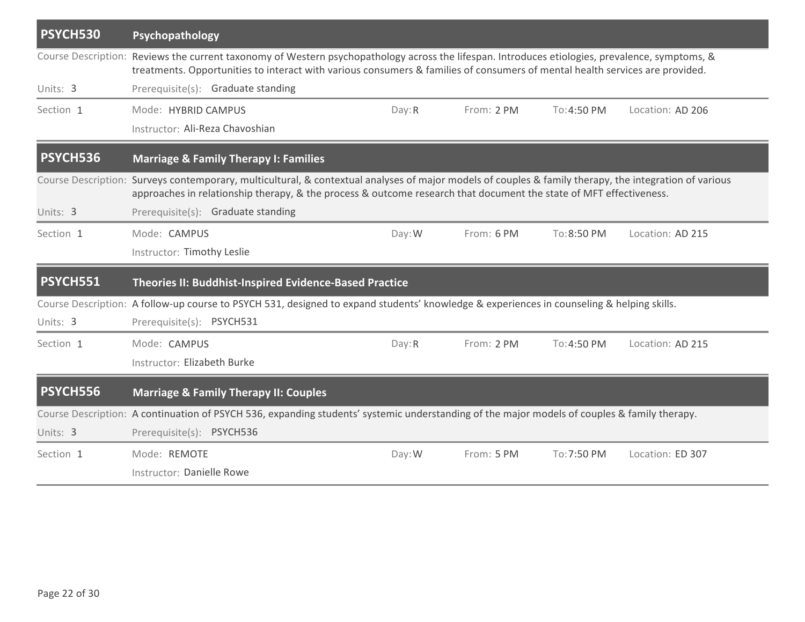| PSYCH530        | Psychopathology                                                                                                                                                                                                                                                                 |        |            |             |                  |
|-----------------|---------------------------------------------------------------------------------------------------------------------------------------------------------------------------------------------------------------------------------------------------------------------------------|--------|------------|-------------|------------------|
|                 | Course Description: Reviews the current taxonomy of Western psychopathology across the lifespan. Introduces etiologies, prevalence, symptoms, &<br>treatments. Opportunities to interact with various consumers & families of consumers of mental health services are provided. |        |            |             |                  |
| Units: 3        | Prerequisite(s): Graduate standing                                                                                                                                                                                                                                              |        |            |             |                  |
| Section 1       | Mode: HYBRID CAMPUS                                                                                                                                                                                                                                                             | Day: R | From: 2 PM | To: 4:50 PM | Location: AD 206 |
|                 | Instructor: Ali-Reza Chavoshian                                                                                                                                                                                                                                                 |        |            |             |                  |
| <b>PSYCH536</b> | <b>Marriage &amp; Family Therapy I: Families</b>                                                                                                                                                                                                                                |        |            |             |                  |
|                 | Course Description: Surveys contemporary, multicultural, & contextual analyses of major models of couples & family therapy, the integration of various<br>approaches in relationship therapy, & the process & outcome research that document the state of MFT effectiveness.    |        |            |             |                  |
| Units: 3        | Prerequisite(s): Graduate standing                                                                                                                                                                                                                                              |        |            |             |                  |
| Section 1       | Mode: CAMPUS                                                                                                                                                                                                                                                                    | Day: W | From: 6 PM | To: 8:50 PM | Location: AD 215 |
|                 | Instructor: Timothy Leslie                                                                                                                                                                                                                                                      |        |            |             |                  |
| <b>PSYCH551</b> | Theories II: Buddhist-Inspired Evidence-Based Practice                                                                                                                                                                                                                          |        |            |             |                  |
|                 | Course Description: A follow-up course to PSYCH 531, designed to expand students' knowledge & experiences in counseling & helping skills.                                                                                                                                       |        |            |             |                  |
| Units: 3        | Prerequisite(s): PSYCH531                                                                                                                                                                                                                                                       |        |            |             |                  |
| Section 1       | Mode: CAMPUS                                                                                                                                                                                                                                                                    | Day: R | From: 2 PM | To: 4:50 PM | Location: AD 215 |
|                 | Instructor: Elizabeth Burke                                                                                                                                                                                                                                                     |        |            |             |                  |
| <b>PSYCH556</b> | <b>Marriage &amp; Family Therapy II: Couples</b>                                                                                                                                                                                                                                |        |            |             |                  |
|                 | Course Description: A continuation of PSYCH 536, expanding students' systemic understanding of the major models of couples & family therapy.                                                                                                                                    |        |            |             |                  |
| Units: 3        | Prerequisite(s): PSYCH536                                                                                                                                                                                                                                                       |        |            |             |                  |
| Section 1       | Mode: REMOTE                                                                                                                                                                                                                                                                    | Day: W | From: 5 PM | To: 7:50 PM | Location: ED 307 |
|                 | Instructor: Danielle Rowe                                                                                                                                                                                                                                                       |        |            |             |                  |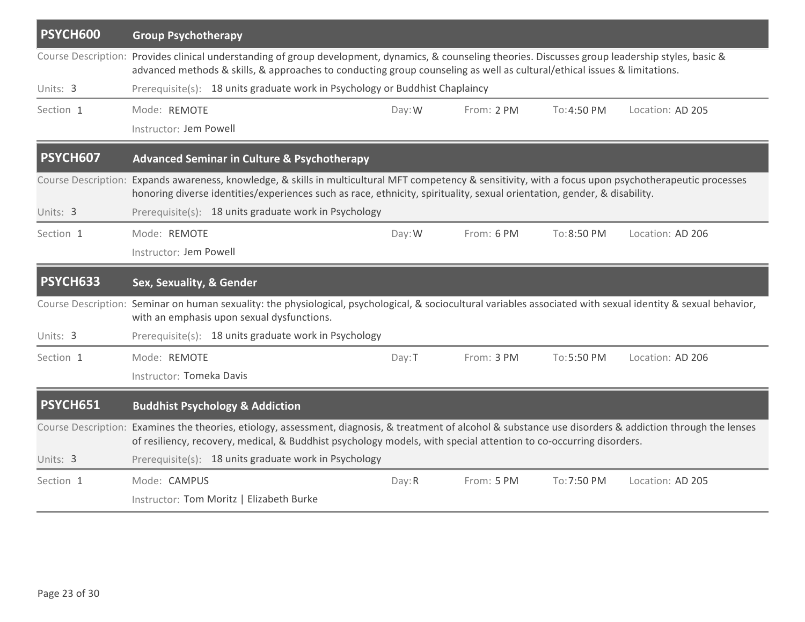| PSYCH600        | <b>Group Psychotherapy</b>                                                                                                                                                                                                                                                          |        |            |             |                  |
|-----------------|-------------------------------------------------------------------------------------------------------------------------------------------------------------------------------------------------------------------------------------------------------------------------------------|--------|------------|-------------|------------------|
|                 | Course Description: Provides clinical understanding of group development, dynamics, & counseling theories. Discusses group leadership styles, basic &<br>advanced methods & skills, & approaches to conducting group counseling as well as cultural/ethical issues & limitations.   |        |            |             |                  |
| Units: 3        | Prerequisite(s): 18 units graduate work in Psychology or Buddhist Chaplaincy                                                                                                                                                                                                        |        |            |             |                  |
| Section 1       | Mode: REMOTE                                                                                                                                                                                                                                                                        | Day: W | From: 2 PM | To: 4:50 PM | Location: AD 205 |
|                 | Instructor: Jem Powell                                                                                                                                                                                                                                                              |        |            |             |                  |
| <b>PSYCH607</b> | <b>Advanced Seminar in Culture &amp; Psychotherapy</b>                                                                                                                                                                                                                              |        |            |             |                  |
|                 | Course Description: Expands awareness, knowledge, & skills in multicultural MFT competency & sensitivity, with a focus upon psychotherapeutic processes<br>honoring diverse identities/experiences such as race, ethnicity, spirituality, sexual orientation, gender, & disability. |        |            |             |                  |
| Units: 3        | Prerequisite(s): 18 units graduate work in Psychology                                                                                                                                                                                                                               |        |            |             |                  |
| Section 1       | Mode: REMOTE                                                                                                                                                                                                                                                                        | Day: W | From: 6 PM | To:8:50 PM  | Location: AD 206 |
|                 | Instructor: Jem Powell                                                                                                                                                                                                                                                              |        |            |             |                  |
|                 |                                                                                                                                                                                                                                                                                     |        |            |             |                  |
| PSYCH633        | Sex, Sexuality, & Gender                                                                                                                                                                                                                                                            |        |            |             |                  |
|                 | Course Description: Seminar on human sexuality: the physiological, psychological, & sociocultural variables associated with sexual identity & sexual behavior,<br>with an emphasis upon sexual dysfunctions.                                                                        |        |            |             |                  |
| Units: 3        | Prerequisite(s): 18 units graduate work in Psychology                                                                                                                                                                                                                               |        |            |             |                  |
| Section 1       | Mode: REMOTE                                                                                                                                                                                                                                                                        | Day: T | From: 3 PM | To:5:50 PM  | Location: AD 206 |
|                 | Instructor: Tomeka Davis                                                                                                                                                                                                                                                            |        |            |             |                  |
| <b>PSYCH651</b> | <b>Buddhist Psychology &amp; Addiction</b>                                                                                                                                                                                                                                          |        |            |             |                  |
|                 | Course Description: Examines the theories, etiology, assessment, diagnosis, & treatment of alcohol & substance use disorders & addiction through the lenses<br>of resiliency, recovery, medical, & Buddhist psychology models, with special attention to co-occurring disorders.    |        |            |             |                  |
| Units: 3        | Prerequisite(s): 18 units graduate work in Psychology                                                                                                                                                                                                                               |        |            |             |                  |
| Section 1       | Mode: CAMPUS                                                                                                                                                                                                                                                                        | Day: R | From: 5 PM | To: 7:50 PM | Location: AD 205 |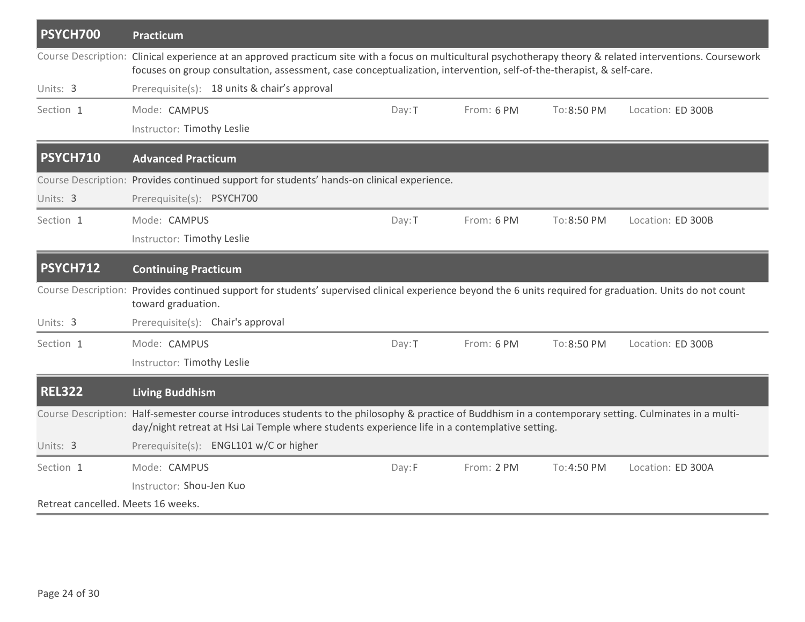| PSYCH700                           | Practicum                                                                                                                                                                                                                                                                            |        |            |             |                   |
|------------------------------------|--------------------------------------------------------------------------------------------------------------------------------------------------------------------------------------------------------------------------------------------------------------------------------------|--------|------------|-------------|-------------------|
|                                    | Course Description: Clinical experience at an approved practicum site with a focus on multicultural psychotherapy theory & related interventions. Coursework<br>focuses on group consultation, assessment, case conceptualization, intervention, self-of-the-therapist, & self-care. |        |            |             |                   |
| Units: 3                           | Prerequisite(s): 18 units & chair's approval                                                                                                                                                                                                                                         |        |            |             |                   |
| Section 1                          | Mode: CAMPUS                                                                                                                                                                                                                                                                         | Day: T | From: 6 PM | To:8:50 PM  | Location: ED 300B |
|                                    | Instructor: Timothy Leslie                                                                                                                                                                                                                                                           |        |            |             |                   |
| PSYCH710                           | <b>Advanced Practicum</b>                                                                                                                                                                                                                                                            |        |            |             |                   |
|                                    | Course Description: Provides continued support for students' hands-on clinical experience.                                                                                                                                                                                           |        |            |             |                   |
| Units: 3                           | Prerequisite(s): PSYCH700                                                                                                                                                                                                                                                            |        |            |             |                   |
| Section 1                          | Mode: CAMPUS                                                                                                                                                                                                                                                                         | Day: T | From: 6 PM | To: 8:50 PM | Location: ED 300B |
|                                    | Instructor: Timothy Leslie                                                                                                                                                                                                                                                           |        |            |             |                   |
| <b>PSYCH712</b>                    | <b>Continuing Practicum</b>                                                                                                                                                                                                                                                          |        |            |             |                   |
|                                    | Course Description: Provides continued support for students' supervised clinical experience beyond the 6 units required for graduation. Units do not count<br>toward graduation.                                                                                                     |        |            |             |                   |
| Units: 3                           | Prerequisite(s): Chair's approval                                                                                                                                                                                                                                                    |        |            |             |                   |
| Section 1                          | Mode: CAMPUS                                                                                                                                                                                                                                                                         | Day: T | From: 6 PM | To: 8:50 PM | Location: ED 300B |
|                                    | Instructor: Timothy Leslie                                                                                                                                                                                                                                                           |        |            |             |                   |
| <b>REL322</b>                      | <b>Living Buddhism</b>                                                                                                                                                                                                                                                               |        |            |             |                   |
|                                    | Course Description: Half-semester course introduces students to the philosophy & practice of Buddhism in a contemporary setting. Culminates in a multi-<br>day/night retreat at Hsi Lai Temple where students experience life in a contemplative setting.                            |        |            |             |                   |
| Units: 3                           | Prerequisite(s): ENGL101 w/C or higher                                                                                                                                                                                                                                               |        |            |             |                   |
| Section 1                          | Mode: CAMPUS                                                                                                                                                                                                                                                                         | Day:F  | From: 2 PM | To: 4:50 PM | Location: ED 300A |
|                                    | Instructor: Shou-Jen Kuo                                                                                                                                                                                                                                                             |        |            |             |                   |
| Retreat cancelled. Meets 16 weeks. |                                                                                                                                                                                                                                                                                      |        |            |             |                   |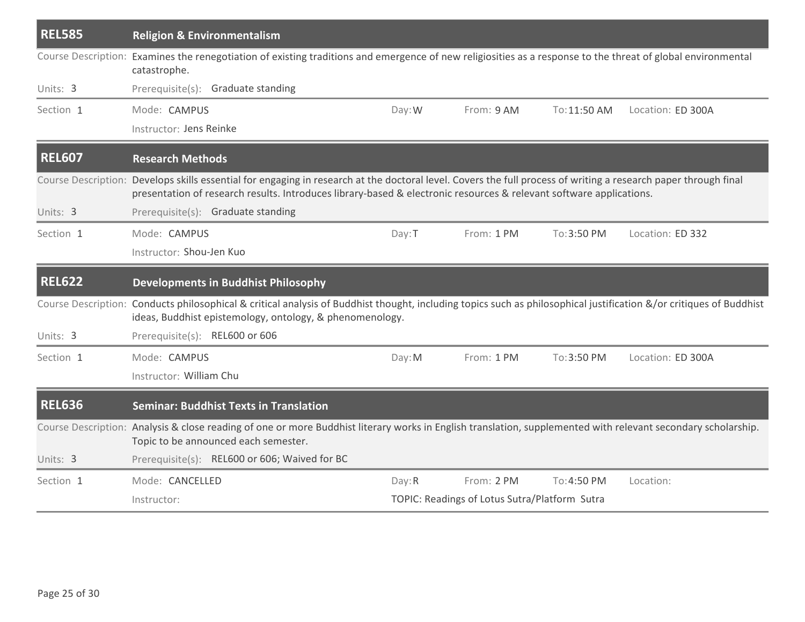| <b>REL585</b> | <b>Religion &amp; Environmentalism</b>                                                                                                                                                                                                                                                 |        |                                               |              |                   |
|---------------|----------------------------------------------------------------------------------------------------------------------------------------------------------------------------------------------------------------------------------------------------------------------------------------|--------|-----------------------------------------------|--------------|-------------------|
|               | Course Description: Examines the renegotiation of existing traditions and emergence of new religiosities as a response to the threat of global environmental<br>catastrophe.                                                                                                           |        |                                               |              |                   |
| Units: 3      | Prerequisite(s): Graduate standing                                                                                                                                                                                                                                                     |        |                                               |              |                   |
| Section 1     | Mode: CAMPUS                                                                                                                                                                                                                                                                           | Day: W | From: 9 AM                                    | To: 11:50 AM | Location: ED 300A |
|               | Instructor: Jens Reinke                                                                                                                                                                                                                                                                |        |                                               |              |                   |
| <b>REL607</b> | <b>Research Methods</b>                                                                                                                                                                                                                                                                |        |                                               |              |                   |
|               | Course Description: Develops skills essential for engaging in research at the doctoral level. Covers the full process of writing a research paper through final<br>presentation of research results. Introduces library-based & electronic resources & relevant software applications. |        |                                               |              |                   |
| Units: 3      | Prerequisite(s): Graduate standing                                                                                                                                                                                                                                                     |        |                                               |              |                   |
| Section 1     | Mode: CAMPUS                                                                                                                                                                                                                                                                           | Day: T | From: 1 PM                                    | To: 3:50 PM  | Location: ED 332  |
|               | Instructor: Shou-Jen Kuo                                                                                                                                                                                                                                                               |        |                                               |              |                   |
| <b>REL622</b> | <b>Developments in Buddhist Philosophy</b>                                                                                                                                                                                                                                             |        |                                               |              |                   |
|               | Course Description: Conducts philosophical & critical analysis of Buddhist thought, including topics such as philosophical justification &/or critiques of Buddhist<br>ideas, Buddhist epistemology, ontology, & phenomenology.                                                        |        |                                               |              |                   |
| Units: 3      | Prerequisite(s): REL600 or 606                                                                                                                                                                                                                                                         |        |                                               |              |                   |
| Section 1     | Mode: CAMPUS                                                                                                                                                                                                                                                                           | Day: M | From: 1 PM                                    | To:3:50 PM   | Location: ED 300A |
|               | Instructor: William Chu                                                                                                                                                                                                                                                                |        |                                               |              |                   |
| <b>REL636</b> | <b>Seminar: Buddhist Texts in Translation</b>                                                                                                                                                                                                                                          |        |                                               |              |                   |
|               | Course Description: Analysis & close reading of one or more Buddhist literary works in English translation, supplemented with relevant secondary scholarship.<br>Topic to be announced each semester.                                                                                  |        |                                               |              |                   |
| Units: 3      | Prerequisite(s): REL600 or 606; Waived for BC                                                                                                                                                                                                                                          |        |                                               |              |                   |
| Section 1     | Mode: CANCELLED                                                                                                                                                                                                                                                                        | Day: R | From: 2 PM                                    | To:4:50 PM   | Location:         |
|               | Instructor:                                                                                                                                                                                                                                                                            |        | TOPIC: Readings of Lotus Sutra/Platform Sutra |              |                   |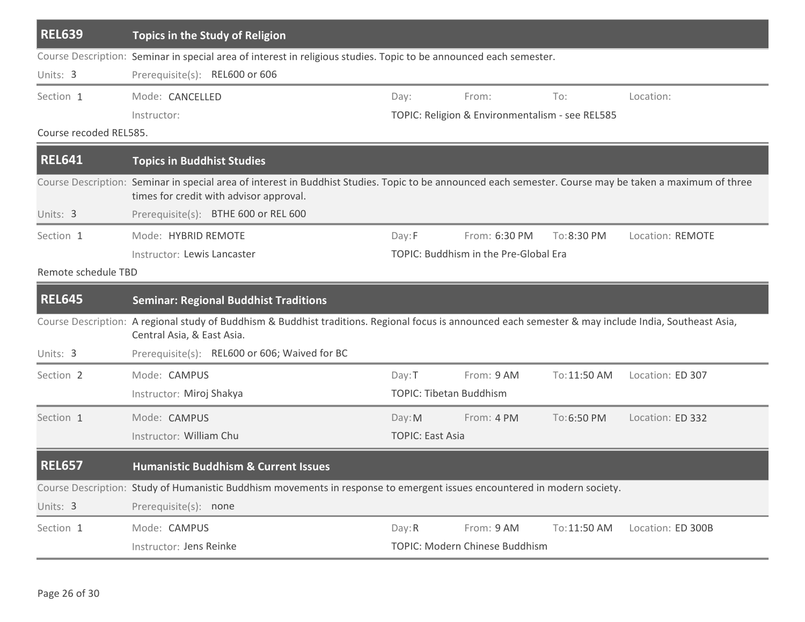| <b>REL639</b>          | <b>Topics in the Study of Religion</b>                                                                                                                                                              |                         |                                                 |              |                   |
|------------------------|-----------------------------------------------------------------------------------------------------------------------------------------------------------------------------------------------------|-------------------------|-------------------------------------------------|--------------|-------------------|
|                        | Course Description: Seminar in special area of interest in religious studies. Topic to be announced each semester.                                                                                  |                         |                                                 |              |                   |
| Units: 3               | Prerequisite(s): REL600 or 606                                                                                                                                                                      |                         |                                                 |              |                   |
| Section 1              | Mode: CANCELLED                                                                                                                                                                                     | Day:                    | From:                                           | To:          | Location:         |
|                        | Instructor:                                                                                                                                                                                         |                         | TOPIC: Religion & Environmentalism - see REL585 |              |                   |
| Course recoded REL585. |                                                                                                                                                                                                     |                         |                                                 |              |                   |
| <b>REL641</b>          | <b>Topics in Buddhist Studies</b>                                                                                                                                                                   |                         |                                                 |              |                   |
|                        | Course Description: Seminar in special area of interest in Buddhist Studies. Topic to be announced each semester. Course may be taken a maximum of three<br>times for credit with advisor approval. |                         |                                                 |              |                   |
| Units: 3               | Prerequisite(s): BTHE 600 or REL 600                                                                                                                                                                |                         |                                                 |              |                   |
| Section 1              | Mode: HYBRID REMOTE                                                                                                                                                                                 | Day: F                  | From: 6:30 PM                                   | To:8:30 PM   | Location: REMOTE  |
|                        | Instructor: Lewis Lancaster                                                                                                                                                                         |                         | TOPIC: Buddhism in the Pre-Global Era           |              |                   |
| Remote schedule TBD    |                                                                                                                                                                                                     |                         |                                                 |              |                   |
|                        |                                                                                                                                                                                                     |                         |                                                 |              |                   |
| <b>REL645</b>          | <b>Seminar: Regional Buddhist Traditions</b>                                                                                                                                                        |                         |                                                 |              |                   |
|                        | Course Description: A regional study of Buddhism & Buddhist traditions. Regional focus is announced each semester & may include India, Southeast Asia,<br>Central Asia, & East Asia.                |                         |                                                 |              |                   |
| Units: 3               | Prerequisite(s): REL600 or 606; Waived for BC                                                                                                                                                       |                         |                                                 |              |                   |
| Section 2              | Mode: CAMPUS                                                                                                                                                                                        | Day: T                  | From: 9 AM                                      | To: 11:50 AM | Location: ED 307  |
|                        | Instructor: Miroj Shakya                                                                                                                                                                            |                         | <b>TOPIC: Tibetan Buddhism</b>                  |              |                   |
| Section 1              | Mode: CAMPUS                                                                                                                                                                                        | Day: M                  | From: 4 PM                                      | To:6:50 PM   | Location: ED 332  |
|                        | Instructor: William Chu                                                                                                                                                                             | <b>TOPIC: East Asia</b> |                                                 |              |                   |
| <b>REL657</b>          | <b>Humanistic Buddhism &amp; Current Issues</b>                                                                                                                                                     |                         |                                                 |              |                   |
|                        | Course Description: Study of Humanistic Buddhism movements in response to emergent issues encountered in modern society.                                                                            |                         |                                                 |              |                   |
| Units: 3               | Prerequisite(s): none                                                                                                                                                                               |                         |                                                 |              |                   |
| Section 1              | Mode: CAMPUS                                                                                                                                                                                        | Day: R                  | From: 9 AM                                      | To: 11:50 AM | Location: ED 300B |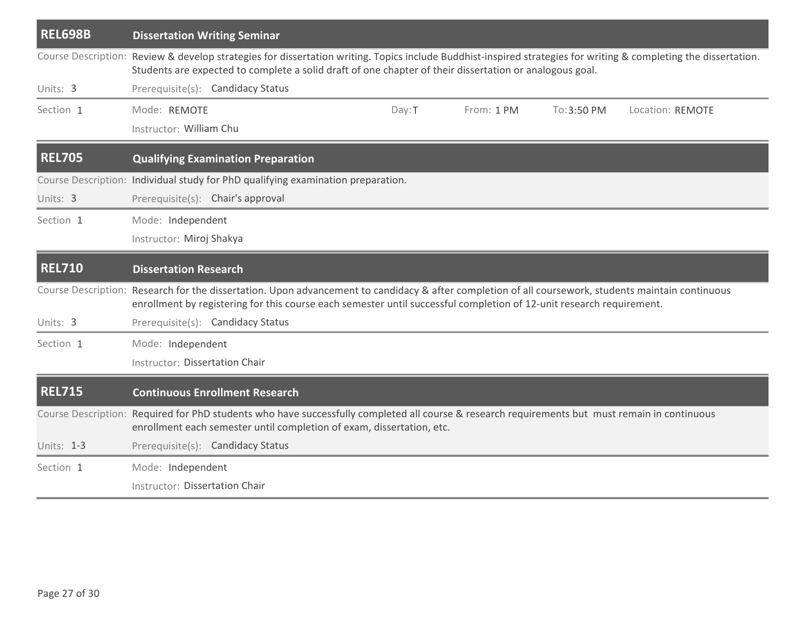| <b>REL698B</b> | <b>Dissertation Writing Seminar</b>                                                                                                                                                                                                                                         |                  |  |  |  |
|----------------|-----------------------------------------------------------------------------------------------------------------------------------------------------------------------------------------------------------------------------------------------------------------------------|------------------|--|--|--|
|                | Course Description: Review & develop strategies for dissertation writing. Topics include Buddhist-inspired strategies for writing & completing the dissertation.<br>Students are expected to complete a solid draft of one chapter of their dissertation or analogous goal. |                  |  |  |  |
| Units: 3       | Prerequisite(s): Candidacy Status                                                                                                                                                                                                                                           |                  |  |  |  |
| Section 1      | Mode: REMOTE<br>Day: T<br>From: 1 PM<br>To: 3:50 PM                                                                                                                                                                                                                         | Location: REMOTE |  |  |  |
|                | Instructor: William Chu                                                                                                                                                                                                                                                     |                  |  |  |  |
| <b>REL705</b>  | <b>Qualifying Examination Preparation</b>                                                                                                                                                                                                                                   |                  |  |  |  |
|                | Course Description: Individual study for PhD qualifying examination preparation.                                                                                                                                                                                            |                  |  |  |  |
| Units: 3       | Prerequisite(s): Chair's approval                                                                                                                                                                                                                                           |                  |  |  |  |
| Section 1      | Mode: Independent                                                                                                                                                                                                                                                           |                  |  |  |  |
|                | Instructor: Miroj Shakya                                                                                                                                                                                                                                                    |                  |  |  |  |
| <b>REL710</b>  | <b>Dissertation Research</b>                                                                                                                                                                                                                                                |                  |  |  |  |
|                | Course Description: Research for the dissertation. Upon advancement to candidacy & after completion of all coursework, students maintain continuous<br>enrollment by registering for this course each semester until successful completion of 12-unit research requirement. |                  |  |  |  |
| Units: 3       | Prerequisite(s): Candidacy Status                                                                                                                                                                                                                                           |                  |  |  |  |
| Section 1      | Mode: Independent                                                                                                                                                                                                                                                           |                  |  |  |  |
|                | Instructor: Dissertation Chair                                                                                                                                                                                                                                              |                  |  |  |  |
| <b>REL715</b>  | <b>Continuous Enrollment Research</b>                                                                                                                                                                                                                                       |                  |  |  |  |
|                | Course Description: Required for PhD students who have successfully completed all course & research requirements but must remain in continuous<br>enrollment each semester until completion of exam, dissertation, etc.                                                     |                  |  |  |  |
| Units: 1-3     | Prerequisite(s): Candidacy Status                                                                                                                                                                                                                                           |                  |  |  |  |
| Section 1      | Mode: Independent                                                                                                                                                                                                                                                           |                  |  |  |  |
|                | Instructor: Dissertation Chair                                                                                                                                                                                                                                              |                  |  |  |  |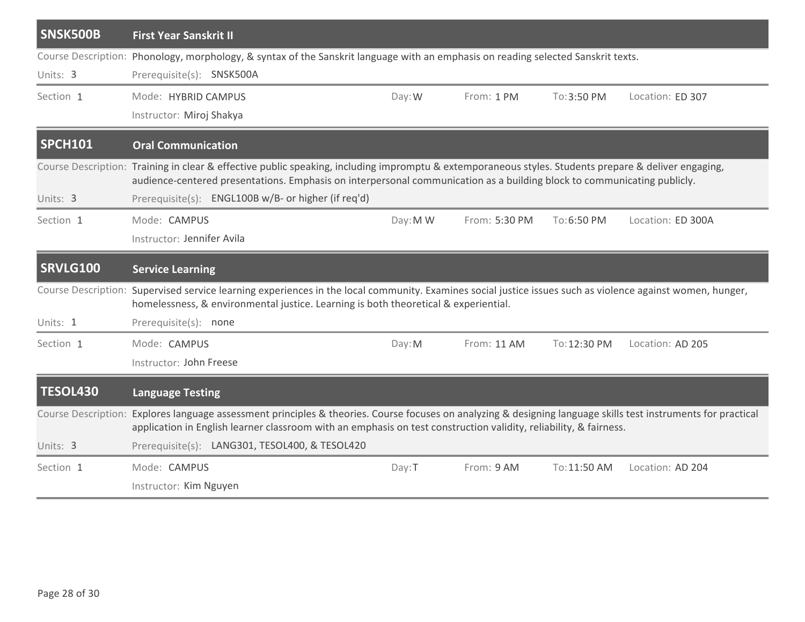| SNSK500B        | <b>First Year Sanskrit II</b>                                                                                                                                                                                                                                                                                                          |          |               |              |                   |
|-----------------|----------------------------------------------------------------------------------------------------------------------------------------------------------------------------------------------------------------------------------------------------------------------------------------------------------------------------------------|----------|---------------|--------------|-------------------|
| Units: 3        | Course Description: Phonology, morphology, & syntax of the Sanskrit language with an emphasis on reading selected Sanskrit texts.<br>Prerequisite(s): SNSK500A                                                                                                                                                                         |          |               |              |                   |
| Section 1       | Mode: HYBRID CAMPUS<br>Instructor: Miroj Shakya                                                                                                                                                                                                                                                                                        | Day: W   | From: 1 PM    | To:3:50 PM   | Location: ED 307  |
| <b>SPCH101</b>  | <b>Oral Communication</b>                                                                                                                                                                                                                                                                                                              |          |               |              |                   |
| Units: 3        | Course Description: Training in clear & effective public speaking, including impromptu & extemporaneous styles. Students prepare & deliver engaging,<br>audience-centered presentations. Emphasis on interpersonal communication as a building block to communicating publicly.<br>Prerequisite(s): ENGL100B w/B- or higher (if req'd) |          |               |              |                   |
| Section 1       | Mode: CAMPUS<br>Instructor: Jennifer Avila                                                                                                                                                                                                                                                                                             | Day: M W | From: 5:30 PM | To:6:50 PM   | Location: ED 300A |
| <b>SRVLG100</b> | <b>Service Learning</b>                                                                                                                                                                                                                                                                                                                |          |               |              |                   |
|                 | Course Description: Supervised service learning experiences in the local community. Examines social justice issues such as violence against women, hunger,<br>homelessness, & environmental justice. Learning is both theoretical & experiential.                                                                                      |          |               |              |                   |
| Units: 1        | Prerequisite(s): none                                                                                                                                                                                                                                                                                                                  |          |               |              |                   |
| Section 1       | Mode: CAMPUS<br>Instructor: John Freese                                                                                                                                                                                                                                                                                                | Day: M   | From: 11 AM   | To: 12:30 PM | Location: AD 205  |
| <b>TESOL430</b> | <b>Language Testing</b>                                                                                                                                                                                                                                                                                                                |          |               |              |                   |
|                 | Course Description: Explores language assessment principles & theories. Course focuses on analyzing & designing language skills test instruments for practical<br>application in English learner classroom with an emphasis on test construction validity, reliability, & fairness.                                                    |          |               |              |                   |
| Units: 3        | Prerequisite(s): LANG301, TESOL400, & TESOL420                                                                                                                                                                                                                                                                                         |          |               |              |                   |
| Section 1       | Mode: CAMPUS<br>Instructor: Kim Nguyen                                                                                                                                                                                                                                                                                                 | Day: T   | From: 9 AM    | To: 11:50 AM | Location: AD 204  |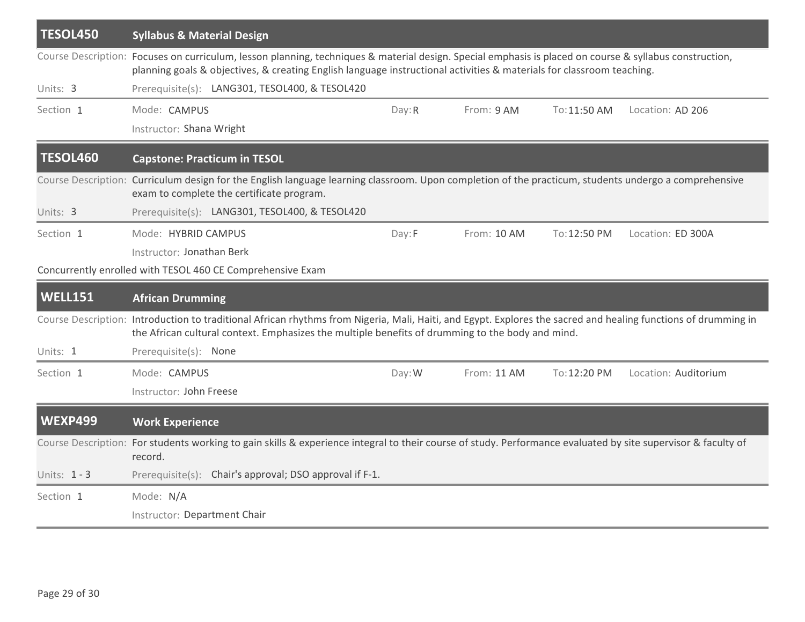| <b>TESOL450</b> | <b>Syllabus &amp; Material Design</b>                                                                                                                                                                                                                                            |        |             |              |                      |
|-----------------|----------------------------------------------------------------------------------------------------------------------------------------------------------------------------------------------------------------------------------------------------------------------------------|--------|-------------|--------------|----------------------|
|                 | Course Description: Focuses on curriculum, lesson planning, techniques & material design. Special emphasis is placed on course & syllabus construction,<br>planning goals & objectives, & creating English language instructional activities & materials for classroom teaching. |        |             |              |                      |
| Units: 3        | Prerequisite(s): LANG301, TESOL400, & TESOL420                                                                                                                                                                                                                                   |        |             |              |                      |
| Section 1       | Mode: CAMPUS                                                                                                                                                                                                                                                                     | Day: R | From: 9 AM  | To: 11:50 AM | Location: AD 206     |
|                 | Instructor: Shana Wright                                                                                                                                                                                                                                                         |        |             |              |                      |
| <b>TESOL460</b> | <b>Capstone: Practicum in TESOL</b>                                                                                                                                                                                                                                              |        |             |              |                      |
|                 | Course Description: Curriculum design for the English language learning classroom. Upon completion of the practicum, students undergo a comprehensive<br>exam to complete the certificate program.                                                                               |        |             |              |                      |
| Units: 3        | Prerequisite(s): LANG301, TESOL400, & TESOL420                                                                                                                                                                                                                                   |        |             |              |                      |
| Section 1       | Mode: HYBRID CAMPUS                                                                                                                                                                                                                                                              | Day:F  | From: 10 AM | To: 12:50 PM | Location: ED 300A    |
|                 | Instructor: Jonathan Berk                                                                                                                                                                                                                                                        |        |             |              |                      |
|                 | Concurrently enrolled with TESOL 460 CE Comprehensive Exam                                                                                                                                                                                                                       |        |             |              |                      |
| <b>WELL151</b>  | <b>African Drumming</b>                                                                                                                                                                                                                                                          |        |             |              |                      |
|                 | Course Description: Introduction to traditional African rhythms from Nigeria, Mali, Haiti, and Egypt. Explores the sacred and healing functions of drumming in<br>the African cultural context. Emphasizes the multiple benefits of drumming to the body and mind.               |        |             |              |                      |
| Units: 1        | Prerequisite(s): None                                                                                                                                                                                                                                                            |        |             |              |                      |
| Section 1       | Mode: CAMPUS                                                                                                                                                                                                                                                                     | Day: W | From: 11 AM | To: 12:20 PM | Location: Auditorium |
|                 | Instructor: John Freese                                                                                                                                                                                                                                                          |        |             |              |                      |
| <b>WEXP499</b>  | <b>Work Experience</b>                                                                                                                                                                                                                                                           |        |             |              |                      |
|                 | Course Description: For students working to gain skills & experience integral to their course of study. Performance evaluated by site supervisor & faculty of<br>record.                                                                                                         |        |             |              |                      |
| Units: 1 - 3    | Prerequisite(s): Chair's approval; DSO approval if F-1.                                                                                                                                                                                                                          |        |             |              |                      |
| Section 1       | Mode: N/A                                                                                                                                                                                                                                                                        |        |             |              |                      |
|                 | Instructor: Department Chair                                                                                                                                                                                                                                                     |        |             |              |                      |